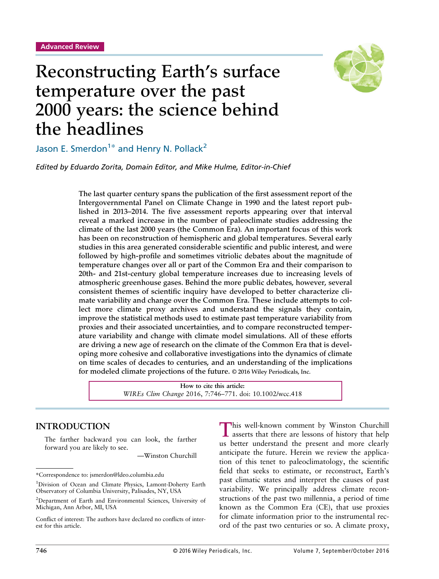

# Reconstructing Earth's surface temperature over the past 2000 years: the science behind the headlines

Jason E. Smerdon<sup>1\*</sup> and Henry N. Pollack<sup>2</sup>

*Edited by Eduardo Zorita, Domain Editor, and Mike Hulme, Editor-in-Chief*

The last quarter century spans the publication of the first assessment report of the Intergovernmental Panel on Climate Change in 1990 and the latest report published in 2013–2014. The five assessment reports appearing over that interval reveal a marked increase in the number of paleoclimate studies addressing the climate of the last 2000 years (the Common Era). An important focus of this work has been on reconstruction of hemispheric and global temperatures. Several early studies in this area generated considerable scientific and public interest, and were followed by high-profile and sometimes vitriolic debates about the magnitude of temperature changes over all or part of the Common Era and their comparison to 20th- and 21st-century global temperature increases due to increasing levels of atmospheric greenhouse gases. Behind the more public debates, however, several consistent themes of scientific inquiry have developed to better characterize climate variability and change over the Common Era. These include attempts to collect more climate proxy archives and understand the signals they contain, improve the statistical methods used to estimate past temperature variability from proxies and their associated uncertainties, and to compare reconstructed temperature variability and change with climate model simulations. All of these efforts are driving a new age of research on the climate of the Common Era that is developing more cohesive and collaborative investigations into the dynamics of climate on time scales of decades to centuries, and an understanding of the implications for modeled climate projections of the future. © 2016 Wiley Periodicals, Inc.

> **How to cite this article:** *WIREs Clim Change* 2016, 7:746–771. doi: 10.1002/wcc.418

## **INTRODUCTION**

The farther backward you can look, the farther forward you are likely to see.

—Winston Churchill

This well-known comment by Winston Churchill asserts that there are lessons of history that help us better understand the present and more clearly anticipate the future. Herein we review the application of this tenet to paleoclimatology, the scientific field that seeks to estimate, or reconstruct, Earth's past climatic states and interpret the causes of past variability. We principally address climate reconstructions of the past two millennia, a period of time known as the Common Era (CE), that use proxies for climate information prior to the instrumental record of the past two centuries or so. A climate proxy,

<sup>\*</sup>Correspondence to: jsmerdon@ldeo.columbia.edu

<sup>&</sup>lt;sup>1</sup>Division of Ocean and Climate Physics, Lamont-Doherty Earth Observatory of Columbia University, Palisades, NY, USA

<sup>&</sup>lt;sup>2</sup>Department of Earth and Environmental Sciences, University of Michigan, Ann Arbor, MI, USA

Conflict of interest: The authors have declared no conflicts of interest for this article.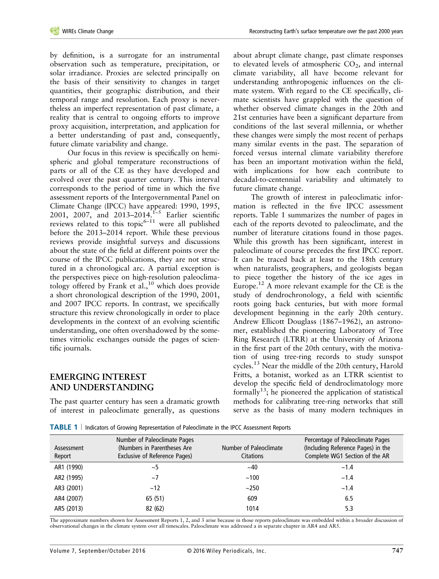by definition, is a surrogate for an instrumental observation such as temperature, precipitation, or solar irradiance. Proxies are selected principally on the basis of their sensitivity to changes in target quantities, their geographic distribution, and their temporal range and resolution. Each proxy is nevertheless an imperfect representation of past climate, a reality that is central to ongoing efforts to improve proxy acquisition, interpretation, and application for a better understanding of past and, consequently, future climate variability and change.

Our focus in this review is specifically on hemispheric and global temperature reconstructions of parts or all of the CE as they have developed and evolved over the past quarter century. This interval corresponds to the period of time in which the five assessment reports of the Intergovernmental Panel on Climate Change (IPCC) have appeared: 1990, 1995, 2001, 2007, and 2013–2014.<sup>1-5</sup> Earlier scientific reviews related to this topic $6-11$  were all published before the 2013–2014 report. While these previous reviews provide insightful surveys and discussions about the state of the field at different points over the course of the IPCC publications, they are not structured in a chronological arc. A partial exception is the perspectives piece on high-resolution paleoclimatology offered by Frank et al.,<sup>10</sup> which does provide a short chronological description of the 1990, 2001, and 2007 IPCC reports. In contrast, we specifically structure this review chronologically in order to place developments in the context of an evolving scientific understanding, one often overshadowed by the sometimes vitriolic exchanges outside the pages of scientific journals.

# **EMERGING INTEREST AND UNDERSTANDING**

The past quarter century has seen a dramatic growth of interest in paleoclimate generally, as questions about abrupt climate change, past climate responses to elevated levels of atmospheric  $CO<sub>2</sub>$ , and internal climate variability, all have become relevant for understanding anthropogenic influences on the climate system. With regard to the CE specifically, climate scientists have grappled with the question of whether observed climate changes in the 20th and 21st centuries have been a significant departure from conditions of the last several millennia, or whether these changes were simply the most recent of perhaps many similar events in the past. The separation of forced versus internal climate variability therefore has been an important motivation within the field, with implications for how each contribute to decadal-to-centennial variability and ultimately to future climate change.

The growth of interest in paleoclimatic information is reflected in the five IPCC assessment reports. Table 1 summarizes the number of pages in each of the reports devoted to paleoclimate, and the number of literature citations found in those pages. While this growth has been significant, interest in paleoclimate of course precedes the first IPCC report. It can be traced back at least to the 18th century when naturalists, geographers, and geologists began to piece together the history of the ice ages in Europe.<sup>12</sup> A more relevant example for the CE is the study of dendrochronology, a field with scientific roots going back centuries, but with more formal development beginning in the early 20th century. Andrew Ellicott Douglass (1867–1962), an astronomer, established the pioneering Laboratory of Tree Ring Research (LTRR) at the University of Arizona in the first part of the 20th century, with the motivation of using tree-ring records to study sunspot cycles.<sup>13</sup> Near the middle of the 20th century, Harold Fritts, a botanist, worked as an LTRR scientist to develop the specific field of dendroclimatology more formally<sup>13</sup>; he pioneered the application of statistical methods for calibrating tree-ring networks that still serve as the basis of many modern techniques in

**TABLE 1** | Indicators of Growing Representation of Paleoclimate in the IPCC Assessment Reports

| Assessment<br>Report | Number of Paleoclimate Pages<br>(Numbers in Parentheses Are<br>Exclusive of Reference Pages) | Number of Paleoclimate<br><b>Citations</b> | Percentage of Paleoclimate Pages<br>(Including Reference Pages) in the<br>Complete WG1 Section of the AR |
|----------------------|----------------------------------------------------------------------------------------------|--------------------------------------------|----------------------------------------------------------------------------------------------------------|
| AR1 (1990)           | ~1                                                                                           | ~10                                        | ~1.4                                                                                                     |
| AR2 (1995)           | $\sim$ 7                                                                                     | ~100                                       | ~1.4                                                                                                     |
| AR3 (2001)           | ~12                                                                                          | ~250                                       | ~1.4                                                                                                     |
| AR4 (2007)           | 65 (51)                                                                                      | 609                                        | 6.5                                                                                                      |
| AR5 (2013)           | 82 (62)                                                                                      | 1014                                       | 5.3                                                                                                      |

The approximate numbers shown for Assessment Reports 1, 2, and 3 arise because in those reports paleoclimate was embedded within a broader discussion of observational changes in the climate system over all timescales. Paleoclimate was addressed a in separate chapter in AR4 and AR5.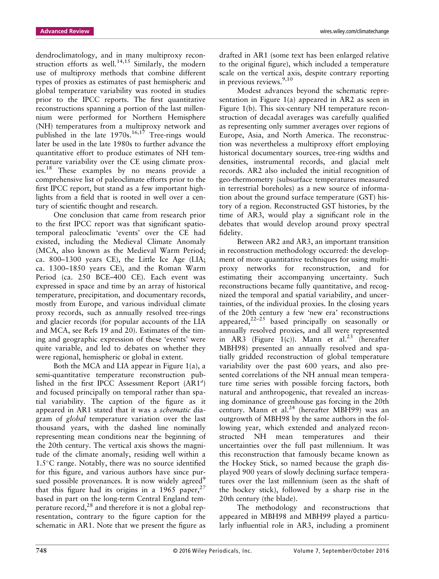**Advanced Review** wires.wiley.com/climatechange

dendroclimatology, and in many multiproxy reconstruction efforts as well.<sup>14,15</sup> Similarly, the modern use of multiproxy methods that combine different types of proxies as estimates of past hemispheric and global temperature variability was rooted in studies prior to the IPCC reports. The first quantitative reconstructions spanning a portion of the last millennium were performed for Northern Hemisphere (NH) temperatures from a multiproxy network and published in the late  $1970s$ ,  $16,17$  Tree-rings would later be used in the late 1980s to further advance the quantitative effort to produce estimates of NH temperature variability over the CE using climate proxies.<sup>18</sup> These examples by no means provide a comprehensive list of paleoclimate efforts prior to the first IPCC report, but stand as a few important highlights from a field that is rooted in well over a century of scientific thought and research.

One conclusion that came from research prior to the first IPCC report was that significant spatiotemporal paleoclimatic 'events' over the CE had existed, including the Medieval Climate Anomaly (MCA, also known as the Medieval Warm Period; ca. 800–1300 years CE), the Little Ice Age (LIA; ca. 1300–1850 years CE), and the Roman Warm Period (ca. 250 BCE–400 CE). Each event was expressed in space and time by an array of historical temperature, precipitation, and documentary records, mostly from Europe, and various individual climate proxy records, such as annually resolved tree-rings and glacier records (for popular accounts of the LIA and MCA, see Refs 19 and 20). Estimates of the timing and geographic expression of these 'events' were quite variable, and led to debates on whether they were regional, hemispheric or global in extent.

Both the MCA and LIA appear in Figure 1(a), a semi-quantitative temperature reconstruction published in the first IPCC Assessment Report (AR1*<sup>a</sup>* ) and focused principally on temporal rather than spatial variability. The caption of the figure as it appeared in AR1 stated that it was a *schematic* diagram of *global* temperature variation over the last thousand years, with the dashed line nominally representing mean conditions near the beginning of the 20th century. The vertical axis shows the magnitude of the climate anomaly, residing well within a  $1.5^{\circ}$ C range. Notably, there was no source identified for this figure, and various authors have since pursued possible provenances. It is now widely agreed<sup>9</sup> that this figure had its origins in a 1965 paper,  $27$ based in part on the long-term Central England temperature record, $^{28}$  and therefore it is not a global representation, contrary to the figure caption for the schematic in AR1. Note that we present the figure as

drafted in AR1 (some text has been enlarged relative to the original figure), which included a temperature scale on the vertical axis, despite contrary reporting in previous reviews.<sup>9,10</sup>

Modest advances beyond the schematic representation in Figure 1(a) appeared in AR2 as seen in Figure 1(b). This six-century NH temperature reconstruction of decadal averages was carefully qualified as representing only summer averages over regions of Europe, Asia, and North America. The reconstruction was nevertheless a multiproxy effort employing historical documentary sources, tree-ring widths and densities, instrumental records, and glacial melt records. AR2 also included the initial recognition of geo-thermometry (subsurface temperatures measured in terrestrial boreholes) as a new source of information about the ground surface temperature (GST) history of a region. Reconstructed GST histories, by the time of AR3, would play a significant role in the debates that would develop around proxy spectral fidelity.

Between AR2 and AR3, an important transition in reconstruction methodology occurred: the development of more quantitative techniques for using multiproxy networks for reconstruction, and for estimating their accompanying uncertainty. Such reconstructions became fully quantitative, and recognized the temporal and spatial variability, and uncertainties, of the individual proxies. In the closing years of the 20th century a few 'new era' reconstructions appeared, $22-25$  based principally on seasonally or annually resolved proxies, and all were represented in AR3 (Figure 1(c)). Mann et al.<sup>23</sup> (hereafter MBH98) presented an annually resolved and spatially gridded reconstruction of global temperature variability over the past 600 years, and also presented correlations of the NH annual mean temperature time series with possible forcing factors, both natural and anthropogenic, that revealed an increasing dominance of greenhouse gas forcing in the 20th century. Mann et al. $^{24}$  (hereafter MBH99) was an outgrowth of MBH98 by the same authors in the following year, which extended and analyzed reconstructed NH mean temperatures and their uncertainties over the full past millennium. It was this reconstruction that famously became known as the Hockey Stick, so named because the graph displayed 900 years of slowly declining surface temperatures over the last millennium (seen as the shaft of the hockey stick), followed by a sharp rise in the 20th century (the blade).

The methodology and reconstructions that appeared in MBH98 and MBH99 played a particularly influential role in AR3, including a prominent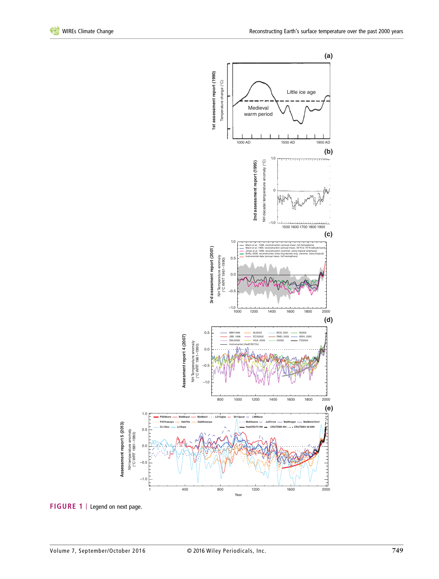

**FIGURE 1** | Legend on next page.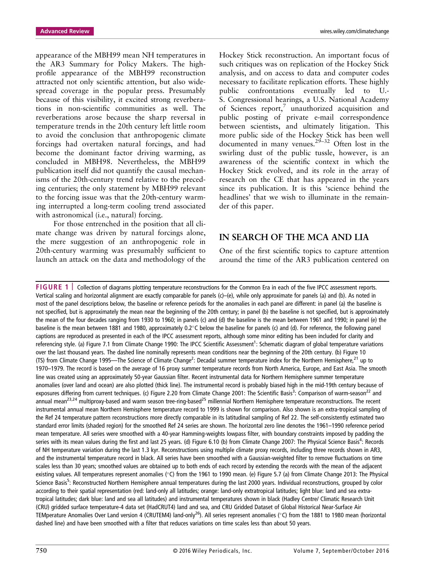**Advanced Review** wires.wiley.com/climatechange

appearance of the MBH99 mean NH temperatures in the AR3 Summary for Policy Makers. The highprofile appearance of the MBH99 reconstruction attracted not only scientific attention, but also widespread coverage in the popular press. Presumably because of this visibility, it excited strong reverberations in non-scientific communities as well. The reverberations arose because the sharp reversal in temperature trends in the 20th century left little room to avoid the conclusion that anthropogenic climate forcings had overtaken natural forcings, and had become the dominant factor driving warming, as concluded in MBH98. Nevertheless, the MBH99 publication itself did not quantify the causal mechanisms of the 20th-century trend relative to the preceding centuries; the only statement by MBH99 relevant to the forcing issue was that the 20th-century warming interrupted a long-term cooling trend associated with astronomical (i.e., natural) forcing.

For those entrenched in the position that all climate change was driven by natural forcings alone, the mere suggestion of an anthropogenic role in 20th-century warming was presumably sufficient to launch an attack on the data and methodology of the Hockey Stick reconstruction. An important focus of such critiques was on replication of the Hockey Stick analysis, and on access to data and computer codes necessary to facilitate replication efforts. These highly public confrontations eventually led to U.- S. Congressional hearings, a U.S. National Academy of Sciences report, $\frac{7}{7}$  unauthorized acquisition and public posting of private e-mail correspondence between scientists, and ultimately litigation. This more public side of the Hockey Stick has been well documented in many venues. $2^{9-32}$  Often lost in the swirling dust of the public tussle, however, is an awareness of the scientific context in which the Hockey Stick evolved, and its role in the array of research on the CE that has appeared in the years since its publication. It is this 'science behind the headlines' that we wish to illuminate in the remainder of this paper.

# **IN SEARCH OF THE MCA AND LIA**

One of the first scientific topics to capture attention around the time of the AR3 publication centered on

**FIGURE 1** Collection of diagrams plotting temperature reconstructions for the Common Era in each of the five IPCC assessment reports. Vertical scaling and horizontal alignment are exactly comparable for panels (c)–(e), while only approximate for panels (a) and (b). As noted in most of the panel descriptions below, the baseline or reference periods for the anomalies in each panel are different: in panel (a) the baseline is not specified, but is approximately the mean near the beginning of the 20th century; in panel (b) the baseline is not specified, but is approximately the mean of the four decades ranging from 1930 to 1960; in panels (c) and (d) the baseline is the mean between 1961 and 1990; in panel (e) the baseline is the mean between 1881 and 1980, approximately 0.2°C below the baseline for panels (c) and (d). For reference, the following panel captions are reproduced as presented in each of the IPCC assessment reports, although some minor editing has been included for clarity and referencing style. (a) Figure 7.1 from Climate Change 1990: The IPCC Scientific Assessment<sup>1</sup>: Schematic diagram of global temperature variations over the last thousand years. The dashed line nominally represents mean conditions near the beginning of the 20th century. (b) Figure 10 (TS) from Climate Change 1995—The Science of Climate Change<sup>2</sup>: Decadal summer temperature index for the Northern Hemisphere,<sup>21</sup> up to 1970–1979. The record is based on the average of 16 proxy summer temperature records from North America, Europe, and East Asia. The smooth line was created using an approximately 50-year Gaussian filter. Recent instrumental data for Northern Hemisphere summer temperature anomalies (over land and ocean) are also plotted (thick line). The instrumental record is probably biased high in the mid-19th century because of exposures differing from current techniques. (c) Figure 2.20 from Climate Change 2001: The Scientific Basis<sup>3</sup>: Comparison of warm-season<sup>22</sup> and annual mean<sup>23,24</sup> multiproxy-based and warm season tree-ring-based<sup>25</sup> millennial Northern Hemisphere temperature reconstructions. The recent instrumental annual mean Northern Hemisphere temperature record to 1999 is shown for comparison. Also shown is an extra-tropical sampling of the Ref 24 temperature pattern reconstructions more directly comparable in its latitudinal sampling of Ref 22. The self-consistently estimated two standard error limits (shaded region) for the smoothed Ref 24 series are shown. The horizontal zero line denotes the 1961–1990 reference period mean temperature. All series were smoothed with a 40-year Hamming-weights lowpass filter, with boundary constraints imposed by padding the series with its mean values during the first and last 25 years. (d) Figure 6.10 (b) from Climate Change 2007: The Physical Science Basis<sup>4</sup>: Records of NH temperature variation during the last 1.3 kyr. Reconstructions using multiple climate proxy records, including three records shown in AR3, and the instrumental temperature record in black. All series have been smoothed with a Gaussian-weighted filter to remove fluctuations on time scales less than 30 years; smoothed values are obtained up to both ends of each record by extending the records with the mean of the adjacent existing values. All temperatures represent anomalies (°C) from the 1961 to 1990 mean. (e) Figure 5.7 (a) from Climate Change 2013: The Physical Science Basis<sup>5</sup>: Reconstructed Northern Hemisphere annual temperatures during the last 2000 years. Individual reconstructions, grouped by color according to their spatial representation (red: land-only all latitudes; orange: land-only extratropical latitudes; light blue: land and sea extratropical latitudes; dark blue: land and sea all latitudes) and instrumental temperatures shown in black (Hadley Centre/ Climatic Research Unit (CRU) gridded surface temperature-4 data set (HadCRUT4) land and sea, and CRU Gridded Dataset of Global Historical Near-Surface Air TEMperature Anomalies Over Land version 4 (CRUTEM4) land-only<sup>26</sup>). All series represent anomalies (°C) from the 1881 to 1980 mean (horizontal dashed line) and have been smoothed with a filter that reduces variations on time scales less than about 50 years.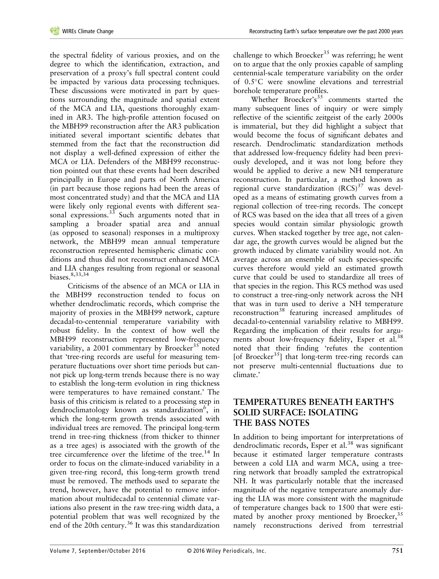the spectral fidelity of various proxies, and on the degree to which the identification, extraction, and preservation of a proxy's full spectral content could be impacted by various data processing techniques. These discussions were motivated in part by questions surrounding the magnitude and spatial extent of the MCA and LIA, questions thoroughly examined in AR3. The high-profile attention focused on the MBH99 reconstruction after the AR3 publication initiated several important scientific debates that stemmed from the fact that the reconstruction did not display a well-defined expression of either the MCA or LIA. Defenders of the MBH99 reconstruction pointed out that these events had been described principally in Europe and parts of North America (in part because those regions had been the areas of most concentrated study) and that the MCA and LIA were likely only regional events with different seasonal expressions. $33$  Such arguments noted that in sampling a broader spatial area and annual (as opposed to seasonal) responses in a multiproxy network, the MBH99 mean annual temperature reconstruction represented hemispheric climatic conditions and thus did not reconstruct enhanced MCA and LIA changes resulting from regional or seasonal biases.8,33,34

Criticisms of the absence of an MCA or LIA in the MBH99 reconstruction tended to focus on whether dendroclimatic records, which comprise the majority of proxies in the MBH99 network, capture decadal-to-centennial temperature variability with robust fidelity. In the context of how well the MBH99 reconstruction represented low-frequency variability, a 2001 commentary by Broecker<sup>35</sup> noted that 'tree-ring records are useful for measuring temperature fluctuations over short time periods but cannot pick up long-term trends because there is no way to establish the long-term evolution in ring thickness were temperatures to have remained constant.' The basis of this criticism is related to a processing step in dendroclimatology known as standardization*<sup>b</sup>* , in which the long-term growth trends associated with individual trees are removed. The principal long-term trend in tree-ring thickness (from thicker to thinner as a tree ages) is associated with the growth of the tree circumference over the lifetime of the tree.<sup>14</sup> In order to focus on the climate-induced variability in a given tree-ring record, this long-term growth trend must be removed. The methods used to separate the trend, however, have the potential to remove information about multidecadal to centennial climate variations also present in the raw tree-ring width data, a potential problem that was well recognized by the end of the 20th century.<sup>36</sup> It was this standardization

challenge to which Broecker<sup>35</sup> was referring; he went on to argue that the only proxies capable of sampling centennial-scale temperature variability on the order of 0.5C were snowline elevations and terrestrial borehole temperature profiles.

Whether Broecker's<sup>35</sup> comments started the many subsequent lines of inquiry or were simply reflective of the scientific zeitgeist of the early 2000s is immaterial, but they did highlight a subject that would become the focus of significant debates and research. Dendroclimatic standardization methods that addressed low-frequency fidelity had been previously developed, and it was not long before they would be applied to derive a new NH temperature reconstruction. In particular, a method known as regional curve standardization  $(RCS)^{37}$  was developed as a means of estimating growth curves from a regional collection of tree-ring records. The concept of RCS was based on the idea that all trees of a given species would contain similar physiologic growth curves. When stacked together by tree age, not calendar age, the growth curves would be aligned but the growth induced by climate variability would not. An average across an ensemble of such species-specific curves therefore would yield an estimated growth curve that could be used to standardize all trees of that species in the region. This RCS method was used to construct a tree-ring-only network across the NH that was in turn used to derive a NH temperature reconstruction<sup>38</sup> featuring increased amplitudes of decadal-to-centennial variability relative to MBH99. Regarding the implication of their results for arguments about low-frequency fidelity, Esper et al.<sup>38</sup> noted that their finding 'refutes the contention [of Broecker<sup>35</sup>] that long-term tree-ring records can not preserve multi-centennial fluctuations due to climate.'

## **TEMPERATURES BENEATH EARTH'S SOLID SURFACE: ISOLATING THE BASS NOTES**

In addition to being important for interpretations of dendroclimatic records, Esper et al. $38$  was significant because it estimated larger temperature contrasts between a cold LIA and warm MCA, using a treering network that broadly sampled the extratropical NH. It was particularly notable that the increased magnitude of the negative temperature anomaly during the LIA was more consistent with the magnitude of temperature changes back to 1500 that were estimated by another proxy mentioned by Broecker,<sup>35</sup> namely reconstructions derived from terrestrial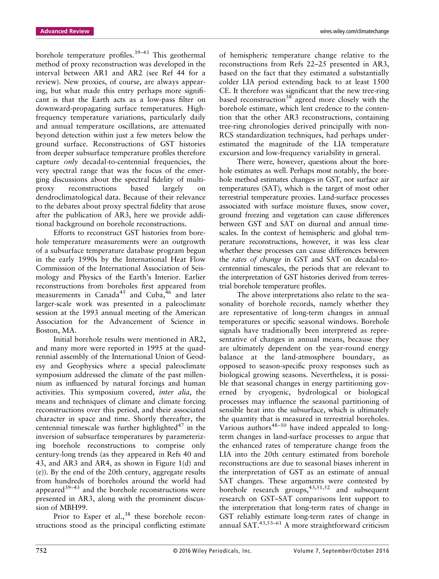borehole temperature profiles. $39-43$  This geothermal method of proxy reconstruction was developed in the interval between AR1 and AR2 (see Ref 44 for a review). New proxies, of course, are always appearing, but what made this entry perhaps more significant is that the Earth acts as a low-pass filter on downward-propagating surface temperatures. Highfrequency temperature variations, particularly daily and annual temperature oscillations, are attenuated beyond detection within just a few meters below the ground surface. Reconstructions of GST histories from deeper subsurface temperature profiles therefore capture *only* decadal-to-centennial frequencies, the very spectral range that was the focus of the emerging discussions about the spectral fidelity of multiproxy reconstructions based largely on dendroclimatological data. Because of their relevance to the debates about proxy spectral fidelity that arose after the publication of AR3, here we provide additional background on borehole reconstructions.

Efforts to reconstruct GST histories from borehole temperature measurements were an outgrowth of a subsurface temperature database program begun in the early 1990s by the International Heat Flow Commission of the International Association of Seismology and Physics of the Earth's Interior. Earlier reconstructions from boreholes first appeared from measurements in Canada<sup>45</sup> and Cuba,<sup>46</sup> and later larger-scale work was presented in a paleoclimate session at the 1993 annual meeting of the American Association for the Advancement of Science in Boston, MA.

Initial borehole results were mentioned in AR2, and many more were reported in 1995 at the quadrennial assembly of the International Union of Geodesy and Geophysics where a special paleoclimate symposium addressed the climate of the past millennium as influenced by natural forcings and human activities. This symposium covered, *inter alia*, the means and techniques of climate and climate forcing reconstructions over this period, and their associated character in space and time. Shortly thereafter, the centennial timescale was further highlighted $47$  in the inversion of subsurface temperatures by parameterizing borehole reconstructions to comprise only century-long trends (as they appeared in Refs 40 and 43, and AR3 and AR4, as shown in Figure 1(d) and (e)). By the end of the 20th century, aggregate results from hundreds of boreholes around the world had appeared $39-43$  and the borehole reconstructions were presented in AR3, along with the prominent discussion of MBH99.

Prior to Esper et al., $38$  these borehole reconstructions stood as the principal conflicting estimate

of hemispheric temperature change relative to the reconstructions from Refs 22–25 presented in AR3, based on the fact that they estimated a substantially colder LIA period extending back to at least 1500 CE. It therefore was significant that the new tree-ring based reconstruction<sup>38</sup> agreed more closely with the borehole estimate, which lent credence to the contention that the other AR3 reconstructions, containing tree-ring chronologies derived principally with non-RCS standardization techniques, had perhaps underestimated the magnitude of the LIA temperature excursion and low-frequency variability in general.

There were, however, questions about the borehole estimates as well. Perhaps most notably, the borehole method estimates changes in GST, not surface air temperatures (SAT), which is the target of most other terrestrial temperature proxies. Land-surface processes associated with surface moisture fluxes, snow cover, ground freezing and vegetation can cause differences between GST and SAT on diurnal and annual timescales. In the context of hemispheric and global temperature reconstructions, however, it was less clear whether these processes can cause differences between the *rates of change* in GST and SAT on decadal-tocentennial timescales, the periods that are relevant to the interpretation of GST histories derived from terrestrial borehole temperature profiles.

The above interpretations also relate to the seasonality of borehole records, namely whether they are representative of long-term changes in annual temperatures or specific seasonal windows. Borehole signals have traditionally been interpreted as representative of changes in annual means, because they are ultimately dependent on the year-round energy balance at the land-atmosphere boundary, as opposed to season-specific proxy responses such as biological growing seasons. Nevertheless, it is possible that seasonal changes in energy partitioning governed by cryogenic, hydrological or biological processes may influence the seasonal partitioning of sensible heat into the subsurface, which is ultimately the quantity that is measured in terrestrial boreholes. Various authors $48-50$  have indeed appealed to longterm changes in land-surface processes to argue that the enhanced rates of temperature change from the LIA into the 20th century estimated from borehole reconstructions are due to seasonal biases inherent in the interpretation of GST as an estimate of annual SAT changes. These arguments were contested by borehole research groups,<sup>43,51,52</sup> and subsequent research on GST–SAT comparisons lent support to the interpretation that long-term rates of change in GST reliably estimate long-term rates of change in annual SAT.43,53–<sup>61</sup> A more straightforward criticism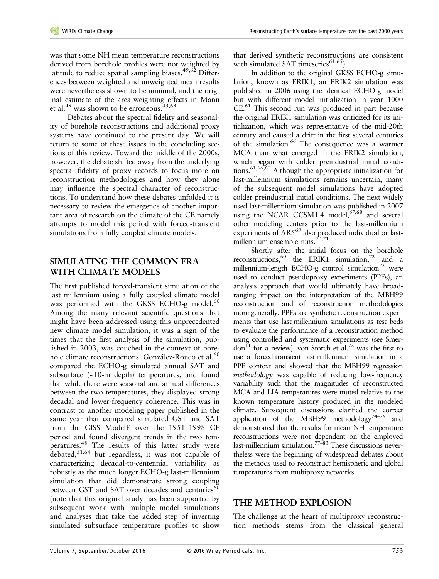was that some NH mean temperature reconstructions derived from borehole profiles were not weighted by latitude to reduce spatial sampling biases.<sup>49,62</sup> Differences between weighted and unweighted mean results were nevertheless shown to be minimal, and the original estimate of the area-weighting effects in Mann et al.<sup>49</sup> was shown to be erroneous.<sup>43,63</sup>

Debates about the spectral fidelity and seasonality of borehole reconstructions and additional proxy systems have continued to the present day. We will return to some of these issues in the concluding sections of this review. Toward the middle of the 2000s, however, the debate shifted away from the underlying spectral fidelity of proxy records to focus more on reconstruction methodologies and how they alone may influence the spectral character of reconstructions. To understand how these debates unfolded it is necessary to review the emergence of another important area of research on the climate of the CE namely attempts to model this period with forced-transient simulations from fully coupled climate models.

# **SIMULATING THE COMMON ERA WITH CLIMATE MODELS**

The first published forced-transient simulation of the last millennium using a fully coupled climate model was performed with the GKSS ECHO-g model.<sup>60</sup> Among the many relevant scientific questions that might have been addressed using this unprecedented new climate model simulation, it was a sign of the times that the first analysis of the simulation, published in 2003, was couched in the context of borehole climate reconstructions. González-Rouco et al.<sup>60</sup> compared the ECHO-g simulated annual SAT and subsurface (~10-m depth) temperatures, and found that while there were seasonal and annual differences between the two temperatures, they displayed strong decadal and lower-frequency coherence. This was in contrast to another modeling paper published in the same year that compared simulated GST and SAT from the GISS ModelE over the 1951–1998 CE period and found divergent trends in the two temperatures.<sup>48</sup> The results of this latter study were debated,<sup>51,64</sup> but regardless, it was not capable of characterizing decadal-to-centennial variability as robustly as the much longer ECHO-g last-millennium simulation that did demonstrate strong coupling between GST and SAT over decades and centuries<sup>60</sup> (note that this original study has been supported by subsequent work with multiple model simulations and analyses that take the added step of inverting simulated subsurface temperature profiles to show

that derived synthetic reconstructions are consistent with simulated SAT timeseries<sup>61,65</sup>).

In addition to the original GKSS ECHO-g simulation, known as ERIK1, an ERIK2 simulation was published in 2006 using the identical ECHO-g model but with different model initialization in year 1000 CE.61 This second run was produced in part because the original ERIK1 simulation was criticized for its initialization, which was representative of the mid-20th century and caused a drift in the first several centuries of the simulation.<sup>66</sup> The consequence was a warmer MCA than what emerged in the ERIK2 simulation, which began with colder preindustrial initial conditions.<sup>61,66,67</sup> Although the appropriate initialization for last-millennium simulations remains uncertain, many of the subsequent model simulations have adopted colder preindustrial initial conditions. The next widely used last-millennium simulation was published in 2007 using the NCAR CCSM1.4 model, $67,68$  and several other modeling centers prior to the last-millennium experiments of AR5<sup>69</sup> also produced individual or lastmillennium ensemble runs.<sup>70,71</sup>

Shortly after the initial focus on the borehole reconstructions,  $60$  the ERIK1 simulation,  $72$  and a millennium-length ECHO-g control simulation $73$  were used to conduct pseudoproxy experiments (PPEs), an analysis approach that would ultimately have broadranging impact on the interpretation of the MBH99 reconstruction and of reconstruction methodologies more generally. PPEs are synthetic reconstruction experiments that use last-millennium simulations as test beds to evaluate the performance of a reconstruction method using controlled and systematic experiments (see Smerdon<sup>11</sup> for a review). von Storch et al.<sup>72</sup> was the first to use a forced-transient last-millennium simulation in a PPE context and showed that the MBH99 regression *methodology* was capable of reducing low-frequency variability such that the magnitudes of reconstructed MCA and LIA temperatures were muted relative to the known temperature history produced in the modeled climate. Subsequent discussions clarified the correct application of the MBH99 methodology<sup>74-76</sup> and demonstrated that the results for mean NH temperature reconstructions were not dependent on the employed last-millennium simulation.<sup>77–83</sup> These discussions nevertheless were the beginning of widespread debates about the methods used to reconstruct hemispheric and global temperatures from multiproxy networks.

# **THE METHOD EXPLOSION**

The challenge at the heart of multiproxy reconstruction methods stems from the classical general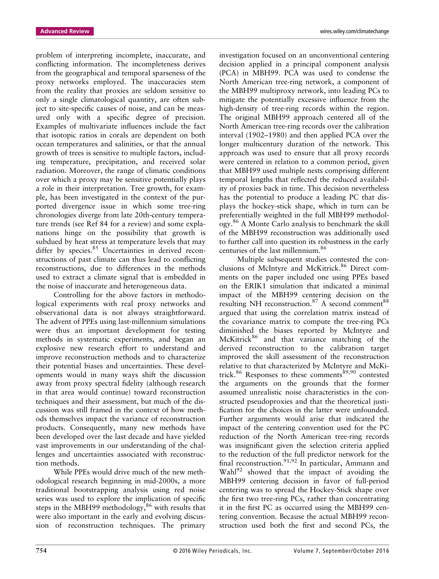problem of interpreting incomplete, inaccurate, and conflicting information. The incompleteness derives from the geographical and temporal sparseness of the proxy networks employed. The inaccuracies stem from the reality that proxies are seldom sensitive to only a single climatological quantity, are often subject to site-specific causes of noise, and can be measured only with a specific degree of precision. Examples of multivariate influences include the fact that isotopic ratios in corals are dependent on both ocean temperatures and salinities, or that the annual growth of trees is sensitive to multiple factors, including temperature, precipitation, and received solar radiation. Moreover, the range of climatic conditions over which a proxy may be sensitive potentially plays a role in their interpretation. Tree growth, for example, has been investigated in the context of the purported divergence issue in which some tree-ring chronologies diverge from late 20th-century temperature trends (see Ref 84 for a review) and some explanations hinge on the possibility that growth is subdued by heat stress at temperature levels that may differ by species.<sup>85</sup> Uncertainties in derived reconstructions of past climate can thus lead to conflicting reconstructions, due to differences in the methods used to extract a climate signal that is embedded in the noise of inaccurate and heterogeneous data.

Controlling for the above factors in methodological experiments with real proxy networks and observational data is not always straightforward. The advent of PPEs using last-millennium simulations were thus an important development for testing methods in systematic experiments, and began an explosive new research effort to understand and improve reconstruction methods and to characterize their potential biases and uncertainties. These developments would in many ways shift the discussion away from proxy spectral fidelity (although research in that area would continue) toward reconstruction techniques and their assessment, but much of the discussion was still framed in the context of how methods themselves impact the variance of reconstruction products. Consequently, many new methods have been developed over the last decade and have yielded vast improvements in our understanding of the challenges and uncertainties associated with reconstruction methods.

While PPEs would drive much of the new methodological research beginning in mid-2000s, a more traditional bootstrapping analysis using red noise series was used to explore the implication of specific steps in the MBH99 methodology,  $86$  with results that were also important in the early and evolving discussion of reconstruction techniques. The primary

investigation focused on an unconventional centering decision applied in a principal component analysis (PCA) in MBH99. PCA was used to condense the North American tree-ring network, a component of the MBH99 multiproxy network, into leading PCs to mitigate the potentially excessive influence from the high-density of tree-ring records within the region. The original MBH99 approach centered all of the North American tree-ring records over the calibration interval (1902–1980) and then applied PCA over the longer multicentury duration of the network. This approach was used to ensure that all proxy records were centered in relation to a common period, given that MBH99 used multiple nests comprising different temporal lengths that reflected the reduced availability of proxies back in time. This decision nevertheless has the potential to produce a leading PC that displays the hockey-stick shape, which in turn can be preferentially weighted in the full MBH99 methodology.<sup>86</sup> A Monte Carlo analysis to benchmark the skill of the MBH99 reconstruction was additionally used to further call into question its robustness in the early centuries of the last millennium.<sup>86</sup>

Multiple subsequent studies contested the conclusions of McIntyre and McKitrick.<sup>86</sup> Direct comments on the paper included one using PPEs based on the ERIK1 simulation that indicated a minimal impact of the MBH99 centering decision on the resulting NH reconstruction. $87$  A second comment<sup>88</sup> argued that using the correlation matrix instead of the covariance matrix to compute the tree-ring PCs diminished the biases reported by McIntyre and McKitrick<sup>86</sup> and that variance matching of the derived reconstruction to the calibration target improved the skill assessment of the reconstruction relative to that characterized by McIntyre and McKitrick.<sup>86</sup> Responses to these comments<sup>89,90</sup> contested the arguments on the grounds that the former assumed unrealistic noise characteristics in the constructed pseudoproxies and that the theoretical justification for the choices in the latter were unfounded. Further arguments would arise that indicated the impact of the centering convention used for the PC reduction of the North American tree-ring records was insignificant given the selection criteria applied to the reduction of the full predictor network for the final reconstruction.<sup>91,92</sup> In particular, Ammann and Wahl<sup>92</sup> showed that the impact of avoiding the MBH99 centering decision in favor of full-period centering was to spread the Hockey-Stick shape over the first two tree-ring PCs, rather than concentrating it in the first PC as occurred using the MBH99 centering convention. Because the actual MBH99 reconstruction used both the first and second PCs, the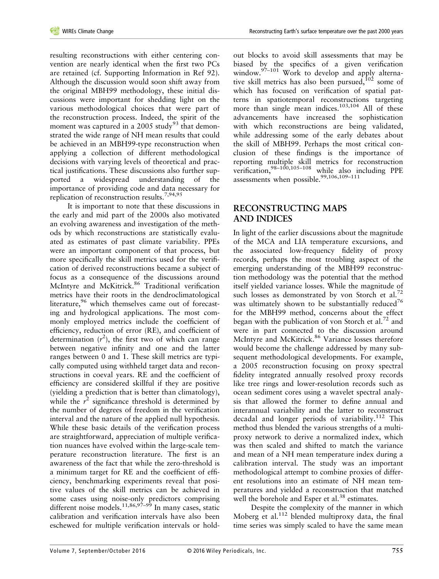resulting reconstructions with either centering convention are nearly identical when the first two PCs are retained (cf. Supporting Information in Ref 92). Although the discussion would soon shift away from the original MBH99 methodology, these initial discussions were important for shedding light on the various methodological choices that were part of the reconstruction process. Indeed, the spirit of the moment was captured in a 2005 study<sup>93</sup> that demonstrated the wide range of NH mean results that could be achieved in an MBH99-type reconstruction when applying a collection of different methodological decisions with varying levels of theoretical and practical justifications. These discussions also further supported a widespread understanding of the importance of providing code and data necessary for replication of reconstruction results.7,94,95

It is important to note that these discussions in the early and mid part of the 2000s also motivated an evolving awareness and investigation of the methods by which reconstructions are statistically evaluated as estimates of past climate variability. PPEs were an important component of that process, but more specifically the skill metrics used for the verification of derived reconstructions became a subject of focus as a consequence of the discussions around McIntyre and McKitrick.<sup>86</sup> Traditional verification metrics have their roots in the dendroclimatological literature,  $96$  which themselves came out of forecasting and hydrological applications. The most commonly employed metrics include the coefficient of efficiency, reduction of error (RE), and coefficient of determination  $(r^2)$ , the first two of which can range between negative infinity and one and the latter ranges between 0 and 1. These skill metrics are typically computed using withheld target data and reconstructions in coeval years. RE and the coefficient of efficiency are considered skillful if they are positive (yielding a prediction that is better than climatology), while the  $r^2$  significance threshold is determined by the number of degrees of freedom in the verification interval and the nature of the applied null hypothesis. While these basic details of the verification process are straightforward, appreciation of multiple verification nuances have evolved within the large-scale temperature reconstruction literature. The first is an awareness of the fact that while the zero-threshold is a minimum target for RE and the coefficient of efficiency, benchmarking experiments reveal that positive values of the skill metrics can be achieved in some cases using noise-only predictors comprising different noise models.<sup>11,86,97–99</sup> In many cases, static calibration and verification intervals have also been eschewed for multiple verification intervals or hold-

out blocks to avoid skill assessments that may be biased by the specifics of a given verification window. $97-101$  Work to develop and apply alternative skill metrics has also been pursued,  $102$  some of which has focused on verification of spatial patterns in spatiotemporal reconstructions targeting more than single mean indices.<sup>103,104</sup> All of these advancements have increased the sophistication with which reconstructions are being validated, while addressing some of the early debates about the skill of MBH99. Perhaps the most critical conclusion of these findings is the importance of reporting multiple skill metrics for reconstruction verification,98–100,105–<sup>108</sup> while also including PPE assessments when possible.<sup>99,106,109-111</sup>

## **RECONSTRUCTING MAPS AND INDICES**

In light of the earlier discussions about the magnitude of the MCA and LIA temperature excursions, and the associated low-frequency fidelity of proxy records, perhaps the most troubling aspect of the emerging understanding of the MBH99 reconstruction methodology was the potential that the method itself yielded variance losses. While the magnitude of such losses as demonstrated by von Storch et al.<sup>72</sup> was ultimately shown to be substantially reduced<sup>76</sup> for the MBH99 method, concerns about the effect began with the publication of von Storch et al.<sup>72</sup> and were in part connected to the discussion around McIntyre and McKitrick.<sup>86</sup> Variance losses therefore would become the challenge addressed by many subsequent methodological developments. For example, a 2005 reconstruction focusing on proxy spectral fidelity integrated annually resolved proxy records like tree rings and lower-resolution records such as ocean sediment cores using a wavelet spectral analysis that allowed the former to define annual and interannual variability and the latter to reconstruct decadal and longer periods of variability.<sup>112</sup> This method thus blended the various strengths of a multiproxy network to derive a normalized index, which was then scaled and shifted to match the variance and mean of a NH mean temperature index during a calibration interval. The study was an important methodological attempt to combine proxies of different resolutions into an estimate of NH mean temperatures and yielded a reconstruction that matched well the borehole and Esper et al.<sup>38</sup> estimates.

Despite the complexity of the manner in which Moberg et al.<sup>112</sup> blended multiproxy data, the final time series was simply scaled to have the same mean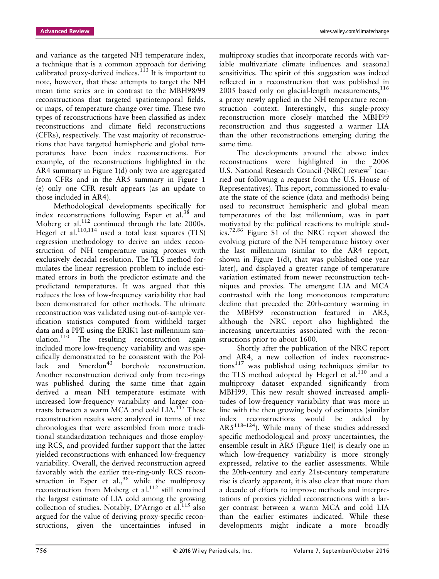and variance as the targeted NH temperature index, a technique that is a common approach for deriving calibrated proxy-derived indices.<sup>113</sup> It is important to note, however, that these attempts to target the NH mean time series are in contrast to the MBH98/99 reconstructions that targeted spatiotemporal fields, or maps, of temperature change over time. These two types of reconstructions have been classified as index reconstructions and climate field reconstructions (CFRs), respectively. The vast majority of reconstructions that have targeted hemispheric and global temperatures have been index reconstructions. For example, of the reconstructions highlighted in the AR4 summary in Figure 1(d) only two are aggregated from CFRs and in the AR5 summary in Figure 1 (e) only one CFR result appears (as an update to those included in AR4).

Methodological developments specifically for index reconstructions following Esper et al.<sup>38</sup> and Moberg et al.<sup>112</sup> continued through the late 2000s. Hegerl et al.110,114 used a total least squares (TLS) regression methodology to derive an index reconstruction of NH temperature using proxies with exclusively decadal resolution. The TLS method formulates the linear regression problem to include estimated errors in both the predictor estimate and the predictand temperatures. It was argued that this reduces the loss of low-frequency variability that had been demonstrated for other methods. The ultimate reconstruction was validated using out-of-sample verification statistics computed from withheld target data and a PPE using the ERIK1 last-millennium simulation.<sup>110</sup> The resulting reconstruction again included more low-frequency variability and was specifically demonstrated to be consistent with the Pollack and  $Smerdon<sup>43</sup>$  borehole reconstruction. Another reconstruction derived only from tree-rings was published during the same time that again derived a mean NH temperature estimate with increased low-frequency variability and larger contrasts between a warm MCA and cold LIA.<sup>115</sup> These reconstruction results were analyzed in terms of tree chronologies that were assembled from more traditional standardization techniques and those employing RCS, and provided further support that the latter yielded reconstructions with enhanced low-frequency variability. Overall, the derived reconstruction agreed favorably with the earlier tree-ring-only RCS reconstruction in Esper et al.,  $38$  while the multiproxy reconstruction from Moberg et al.<sup>112</sup> still remained the largest estimate of LIA cold among the growing collection of studies. Notably, D'Arrigo et al.<sup>115</sup> also argued for the value of deriving proxy-specific reconstructions, given the uncertainties infused in multiproxy studies that incorporate records with variable multivariate climate influences and seasonal sensitivities. The spirit of this suggestion was indeed reflected in a reconstruction that was published in 2005 based only on glacial-length measurements, $116$ a proxy newly applied in the NH temperature reconstruction context. Interestingly, this single-proxy reconstruction more closely matched the MBH99 reconstruction and thus suggested a warmer LIA than the other reconstructions emerging during the same time.

The developments around the above index reconstructions were highlighted in the 2006 U.S. National Research Council (NRC) review<sup>7</sup> (carried out following a request from the U.S. House of Representatives). This report, commissioned to evaluate the state of the science (data and methods) being used to reconstruct hemispheric and global mean temperatures of the last millennium, was in part motivated by the political reactions to multiple studies.72,86 Figure S1 of the NRC report showed the evolving picture of the NH temperature history over the last millennium (similar to the AR4 report, shown in Figure 1(d), that was published one year later), and displayed a greater range of temperature variation estimated from newer reconstruction techniques and proxies. The emergent LIA and MCA contrasted with the long monotonous temperature decline that preceded the 20th-century warming in the MBH99 reconstruction featured in AR3, although the NRC report also highlighted the increasing uncertainties associated with the reconstructions prior to about 1600.

Shortly after the publication of the NRC report and AR4, a new collection of index reconstruc $tions<sup>117</sup>$  was published using techniques similar to the TLS method adopted by Hegerl et al. $110$  and a multiproxy dataset expanded significantly from MBH99. This new result showed increased amplitudes of low-frequency variability that was more in line with the then growing body of estimates (similar index reconstructions would be added by AR5118–124). While many of these studies addressed specific methodological and proxy uncertainties, the ensemble result in AR5 (Figure 1(e)) is clearly one in which low-frequency variability is more strongly expressed, relative to the earlier assessments. While the 20th-century and early 21st-century temperature rise is clearly apparent, it is also clear that more than a decade of efforts to improve methods and interpretations of proxies yielded reconstructions with a larger contrast between a warm MCA and cold LIA than the earlier estimates indicated. While these developments might indicate a more broadly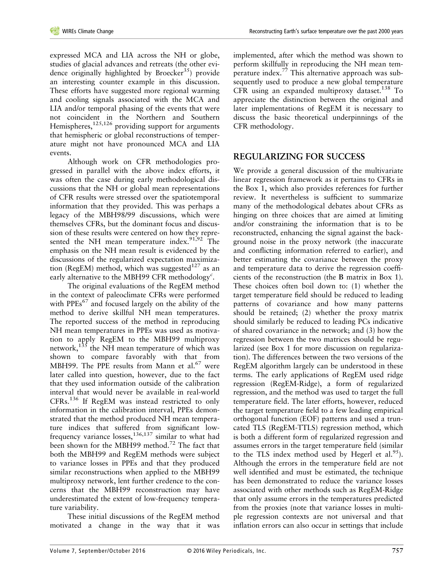expressed MCA and LIA across the NH or globe, studies of glacial advances and retreats (the other evidence originally highlighted by Broecker<sup>35</sup>) provide an interesting counter example in this discussion. These efforts have suggested more regional warming and cooling signals associated with the MCA and LIA and/or temporal phasing of the events that were not coincident in the Northern and Southern Hemispheres, $125,126$  providing support for arguments that hemispheric or global reconstructions of temperature might not have pronounced MCA and LIA events.

Although work on CFR methodologies progressed in parallel with the above index efforts, it was often the case during early methodological discussions that the NH or global mean representations of CFR results were stressed over the spatiotemporal information that they provided. This was perhaps a legacy of the MBH98/99 discussions, which were themselves CFRs, but the dominant focus and discussion of these results were centered on how they represented the NH mean temperature index.<sup>91,92</sup> The emphasis on the NH mean result is evidenced by the discussions of the regularized expectation maximization (RegEM) method, which was suggested<sup>127</sup> as an early alternative to the MBH99 CFR methodology*<sup>c</sup>* .

The original evaluations of the RegEM method in the context of paleoclimate CFRs were performed with  $PPEs<sup>67</sup>$  and focused largely on the ability of the method to derive skillful NH mean temperatures. The reported success of the method in reproducing NH mean temperatures in PPEs was used as motivation to apply RegEM to the MBH99 multiproxy network,  $135$  the NH mean temperature of which was shown to compare favorably with that from MBH99. The PPE results from Mann et al.<sup>67</sup> were later called into question, however, due to the fact that they used information outside of the calibration interval that would never be available in real-world CFRs.<sup>136</sup> If RegEM was instead restricted to only information in the calibration interval, PPEs demonstrated that the method produced NH mean temperature indices that suffered from significant lowfrequency variance losses, $136,137$  similar to what had been shown for the MBH99 method.<sup>72</sup> The fact that both the MBH99 and RegEM methods were subject to variance losses in PPEs and that they produced similar reconstructions when applied to the MBH99 multiproxy network, lent further credence to the concerns that the MBH99 reconstruction may have underestimated the extent of low-frequency temperature variability.

These initial discussions of the RegEM method motivated a change in the way that it was

implemented, after which the method was shown to perform skillfully in reproducing the NH mean temperature index. $7\frac{7}{7}$  This alternative approach was subsequently used to produce a new global temperature CFR using an expanded multiproxy dataset.<sup>138</sup> To appreciate the distinction between the original and later implementations of RegEM it is necessary to discuss the basic theoretical underpinnings of the CFR methodology.

# **REGULARIZING FOR SUCCESS**

We provide a general discussion of the multivariate linear regression framework as it pertains to CFRs in the Box 1, which also provides references for further review. It nevertheless is sufficient to summarize many of the methodological debates about CFRs as hinging on three choices that are aimed at limiting and/or constraining the information that is to be reconstructed, enhancing the signal against the background noise in the proxy network (the inaccurate and conflicting information referred to earlier), and better estimating the covariance between the proxy and temperature data to derive the regression coefficients of the reconstruction (the **B** matrix in Box 1). These choices often boil down to: (1) whether the target temperature field should be reduced to leading patterns of covariance and how many patterns should be retained; (2) whether the proxy matrix should similarly be reduced to leading PCs indicative of shared covariance in the network; and (3) how the regression between the two matrices should be regularized (see Box 1 for more discussion on regularization). The differences between the two versions of the RegEM algorithm largely can be understood in these terms. The early applications of RegEM used ridge regression (RegEM-Ridge), a form of regularized regression, and the method was used to target the full temperature field. The later efforts, however, reduced the target temperature field to a few leading empirical orthogonal function (EOF) patterns and used a truncated TLS (RegEM-TTLS) regression method, which is both a different form of regularized regression and assumes errors in the target temperature field (similar to the TLS index method used by Hegerl et al.<sup>95</sup>). Although the errors in the temperature field are not well identified and must be estimated, the technique has been demonstrated to reduce the variance losses associated with other methods such as RegEM-Ridge that only assume errors in the temperatures predicted from the proxies (note that variance losses in multiple regression contexts are not universal and that inflation errors can also occur in settings that include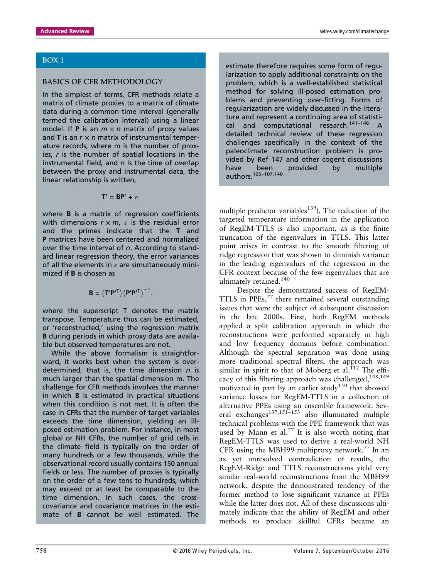#### BOX 1

#### BASICS OF CFR METHODOLOGY

In the simplest of terms, CFR methods relate a matrix of climate proxies to a matrix of climate data during a common time interval (generally termed the calibration interval) using a linear model. If **P** is an  $m \times n$  matrix of proxy values and **T** is an  $r \times n$  matrix of instrumental temperature records, where m is the number of proxies, *r* is the number of spatial locations in the instrumental field, and *n* is the time of overlap between the proxy and instrumental data, the linear relationship is written,

$$
\mathbf{T}' = \mathbf{B}\mathbf{P}' + \varepsilon,
$$

where **B** is a matrix of regression coefficients with dimensions  $r \times m$ ,  $\varepsilon$  is the residual error and the primes indicate that the **T** and **P** matrices have been centered and normalized over the time interval of *n*. According to standard linear regression theory, the error variances of all the elements in *ε* are simultaneously minimized if **B** is chosen as

$$
\mathbf{B} = (\mathbf{T}'\mathbf{P}'^{\mathsf{T}}) (\mathbf{P}'\mathbf{P}'^{\mathsf{T}})^{-1},
$$

where the superscript T denotes the matrix transpose. Temperature thus can be estimated, or 'reconstructed,' using the regression matrix **B** during periods in which proxy data are available but observed temperatures are not.

While the above formalism is straightforward, it works best when the system is overdetermined, that is, the time dimension *n* is much larger than the spatial dimension m. The challenge for CFR methods involves the manner in which **B** is estimated in practical situations when this condition is not met. It is often the case in CFRs that the number of target variables exceeds the time dimension, yielding an illposed estimation problem. For instance, in most global or NH CFRs, the number of grid cells in the climate field is typically on the order of many hundreds or a few thousands, while the observational record usually contains 150 annual fields or less. The number of proxies is typically on the order of a few tens to hundreds, which may exceed or at least be comparable to the time dimension. In such cases, the crosscovariance and covariance matrices in the estimate of **B** cannot be well estimated. The

estimate therefore requires some form of regularization to apply additional constraints on the problem, which is a well-established statistical method for solving ill-posed estimation problems and preventing over-fitting. Forms of regularization are widely discussed in the literature and represent a continuing area of statistical and computational research. $141-146$ detailed technical review of these regression challenges specifically in the context of the paleoclimate reconstruction problem is provided by Ref 147 and other cogent discussions have been provided by multiple authors.<sup>105–107,140</sup>

multiple predictor variables<sup>139</sup>). The reduction of the targeted temperature information in the application of RegEM-TTLS is also important, as is the finite truncation of the eigenvalues in TTLS. This latter point arises in contrast to the smooth filtering of ridge regression that was shown to diminish variance in the leading eigenvalues of the regression in the CFR context because of the few eigenvalues that are ultimately retained.<sup>140</sup>

Despite the demonstrated success of RegEM-TTLS in PPEs, $^{77}$  there remained several outstanding issues that were the subject of subsequent discussion in the late 2000s. First, both RegEM methods applied a split calibration approach in which the reconstructions were performed separately in high and low frequency domains before combination. Although the spectral separation was done using more traditional spectral filters, the approach was similar in spirit to that of Moberg et al.<sup>112</sup> The efficacy of this filtering approach was challenged,  $148,149$ motivated in part by an earlier study<sup>150</sup> that showed variance losses for RegEM-TTLS in a collection of alternative PPEs using an ensemble framework. Several exchanges<sup>137,151–153</sup> also illuminated multiple technical problems with the PPE framework that was used by Mann et al.<sup>77</sup> It is also worth noting that RegEM-TTLS was used to derive a real-world NH CFR using the MBH99 multiproxy network.77 In an as yet unresolved contradiction of results, the RegEM-Ridge and TTLS reconstructions yield very similar real-world reconstructions from the MBH99 network, despite the demonstrated tendency of the former method to lose significant variance in PPEs while the latter does not. All of these discussions ultimately indicate that the ability of RegEM and other methods to produce skillful CFRs became an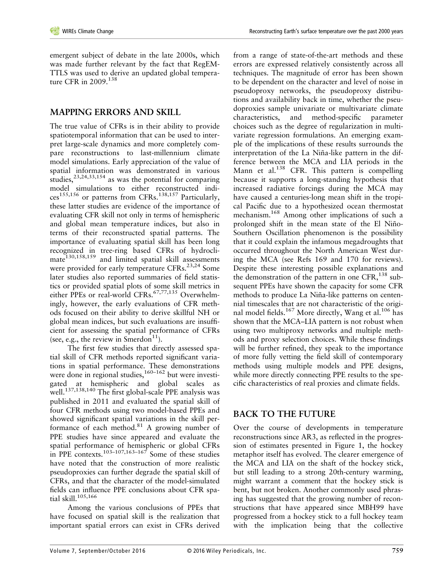emergent subject of debate in the late 2000s, which was made further relevant by the fact that RegEM-TTLS was used to derive an updated global temperature CFR in 2009.<sup>138</sup>

## **MAPPING ERRORS AND SKILL**

The true value of CFRs is in their ability to provide spatiotemporal information that can be used to interpret large-scale dynamics and more completely compare reconstructions to last-millennium climate model simulations. Early appreciation of the value of spatial information was demonstrated in various studies,  $2^{3,24,33,154}$  as was the potential for comparing model simulations to either reconstructed indi $ces^{155,156}$  or patterns from CFRs.<sup>138,157</sup> Particularly, these latter studies are evidence of the importance of evaluating CFR skill not only in terms of hemispheric and global mean temperature indices, but also in terms of their reconstructed spatial patterns. The importance of evaluating spatial skill has been long recognized in tree-ring based CFRs of hydroclimate<sup>130,158,159</sup> and limited spatial skill assessments were provided for early temperature CFRs.<sup>23,24</sup> Some later studies also reported summaries of field statistics or provided spatial plots of some skill metrics in either PPEs or real-world CFRs.<sup>67,77,135</sup> Overwhelmingly, however, the early evaluations of CFR methods focused on their ability to derive skillful NH or global mean indices, but such evaluations are insufficient for assessing the spatial performance of CFRs (see, e.g., the review in Smerdon<sup>11</sup>).

The first few studies that directly assessed spatial skill of CFR methods reported significant variations in spatial performance. These demonstrations were done in regional studies,  $160-162$  but were investigated at hemispheric and global scales as well.<sup>137,138,140</sup> The first global-scale PPE analysis was published in 2011 and evaluated the spatial skill of four CFR methods using two model-based PPEs and showed significant spatial variations in the skill performance of each method. $81$  A growing number of PPE studies have since appeared and evaluate the spatial performance of hemispheric or global CFRs in PPE contexts.<sup>103–107,163–167</sup> Some of these studies have noted that the construction of more realistic pseudoproxies can further degrade the spatial skill of CFRs, and that the character of the model-simulated fields can influence PPE conclusions about CFR spatial skill.<sup>105,166</sup>

Among the various conclusions of PPEs that have focused on spatial skill is the realization that important spatial errors can exist in CFRs derived from a range of state-of-the-art methods and these errors are expressed relatively consistently across all techniques. The magnitude of error has been shown to be dependent on the character and level of noise in pseudoproxy networks, the pseudoproxy distributions and availability back in time, whether the pseudoproxies sample univariate or multivariate climate characteristics, and method-specific parameter choices such as the degree of regularization in multivariate regression formulations. An emerging example of the implications of these results surrounds the interpretation of the La Niña-like pattern in the difference between the MCA and LIA periods in the Mann et al. $^{138}$  CFR. This pattern is compelling because it supports a long-standing hypothesis that increased radiative forcings during the MCA may have caused a centuries-long mean shift in the tropical Pacific due to a hypothesized ocean thermostat mechanism.<sup>168</sup> Among other implications of such a prolonged shift in the mean state of the El Niño-Southern Oscillation phenomenon is the possibility that it could explain the infamous megadroughts that occurred throughout the North American West during the MCA (see Refs 169 and 170 for reviews). Despite these interesting possible explanations and the demonstration of the pattern in one  $CFR$ ,  $^{138}$  subsequent PPEs have shown the capacity for some CFR methods to produce La Niña-like patterns on centennial timescales that are not characteristic of the original model fields.<sup>167</sup> More directly, Wang et al.<sup>106</sup> has shown that the MCA–LIA pattern is not robust when using two multiproxy networks and multiple methods and proxy selection choices. While these findings will be further refined, they speak to the importance of more fully vetting the field skill of contemporary methods using multiple models and PPE designs, while more directly connecting PPE results to the specific characteristics of real proxies and climate fields.

# **BACK TO THE FUTURE**

Over the course of developments in temperature reconstructions since AR3, as reflected in the progression of estimates presented in Figure 1, the hockey metaphor itself has evolved. The clearer emergence of the MCA and LIA on the shaft of the hockey stick, but still leading to a strong 20th-century warming, might warrant a comment that the hockey stick is bent, but not broken. Another commonly used phrasing has suggested that the growing number of reconstructions that have appeared since MBH99 have progressed from a hockey stick to a full hockey team with the implication being that the collective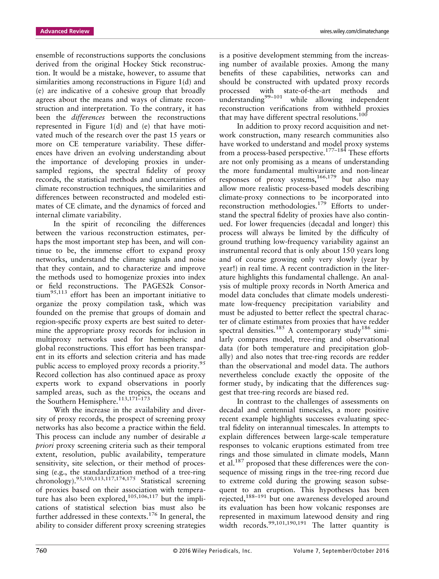ensemble of reconstructions supports the conclusions derived from the original Hockey Stick reconstruction. It would be a mistake, however, to assume that similarities among reconstructions in Figure 1(d) and (e) are indicative of a cohesive group that broadly agrees about the means and ways of climate reconstruction and interpretation. To the contrary, it has been the *differences* between the reconstructions represented in Figure 1(d) and (e) that have motivated much of the research over the past 15 years or more on CE temperature variability. These differences have driven an evolving understanding about the importance of developing proxies in undersampled regions, the spectral fidelity of proxy records, the statistical methods and uncertainties of climate reconstruction techniques, the similarities and differences between reconstructed and modeled esti-

mates of CE climate, and the dynamics of forced and

internal climate variability. In the spirit of reconciling the differences between the various reconstruction estimates, perhaps the most important step has been, and will continue to be, the immense effort to expand proxy networks, understand the climate signals and noise that they contain, and to characterize and improve the methods used to homogenize proxies into index or field reconstructions. The PAGES2k Consor- $\[\text{tium}^{95,113}\]$  effort has been an important initiative to organize the proxy compilation task, which was founded on the premise that groups of domain and region-specific proxy experts are best suited to determine the appropriate proxy records for inclusion in multiproxy networks used for hemispheric and global reconstructions. This effort has been transparent in its efforts and selection criteria and has made public access to employed proxy records a priority.<sup>95</sup> Record collection has also continued apace as proxy experts work to expand observations in poorly sampled areas, such as the tropics, the oceans and the Southern Hemisphere.<sup>113,171-173</sup>

With the increase in the availability and diversity of proxy records, the prospect of screening proxy networks has also become a practice within the field. This process can include any number of desirable *a priori* proxy screening criteria such as their temporal extent, resolution, public availability, temperature sensitivity, site selection, or their method of processing (e.g., the standardization method of a tree-ring chronology).<sup>95,100,113,117,174,175</sup> Statistical screening of proxies based on their association with temperature has also been explored,<sup>105,106,117</sup> but the implications of statistical selection bias must also be further addressed in these contexts.<sup>176</sup> In general, the ability to consider different proxy screening strategies

is a positive development stemming from the increasing number of available proxies. Among the many benefits of these capabilities, networks can and should be constructed with updated proxy records processed with state-of-the-art methods and understanding<sup>99–101</sup> while allowing independent reconstruction verifications from withheld proxies that may have different spectral resolutions.<sup>100</sup>

In addition to proxy record acquisition and network construction, many research communities also have worked to understand and model proxy systems from a process-based perspective.<sup>177-184</sup> These efforts are not only promising as a means of understanding the more fundamental multivariate and non-linear responses of proxy systems,  $166,179$  but also may allow more realistic process-based models describing climate-proxy connections to be incorporated into reconstruction methodologies.<sup>179</sup> Efforts to understand the spectral fidelity of proxies have also continued. For lower frequencies (decadal and longer) this process will always be limited by the difficulty of ground truthing low-frequency variability against an instrumental record that is only about 150 years long and of course growing only very slowly (year by year!) in real time. A recent contradiction in the literature highlights this fundamental challenge. An analysis of multiple proxy records in North America and model data concludes that climate models underestimate low-frequency precipitation variability and must be adjusted to better reflect the spectral character of climate estimates from proxies that have redder spectral densities.<sup>185</sup> A contemporary study<sup>186</sup> similarly compares model, tree-ring and observational data (for both temperature and precipitation globally) and also notes that tree-ring records are redder than the observational and model data. The authors nevertheless conclude exactly the opposite of the former study, by indicating that the differences suggest that tree-ring records are biased red.

In contrast to the challenges of assessments on decadal and centennial timescales, a more positive recent example highlights successes evaluating spectral fidelity on interannual timescales. In attempts to explain differences between large-scale temperature responses to volcanic eruptions estimated from tree rings and those simulated in climate models, Mann et al.<sup>187</sup> proposed that these differences were the consequence of missing rings in the tree-ring record due to extreme cold during the growing season subsequent to an eruption. This hypotheses has been rejected,188–<sup>191</sup> but one awareness developed around its evaluation has been how volcanic responses are represented in maximum latewood density and ring width records.<sup>99,101,190,191</sup> The latter quantity is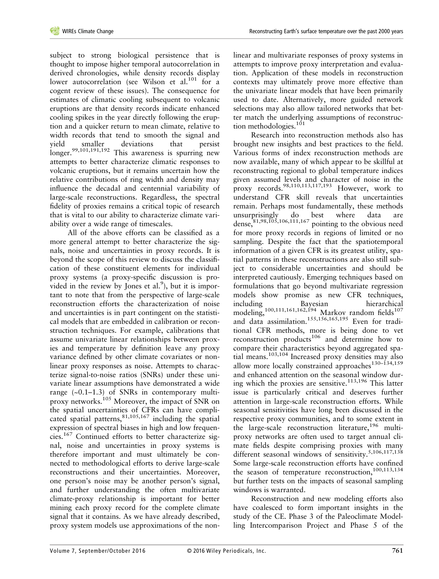subject to strong biological persistence that is thought to impose higher temporal autocorrelation in derived chronologies, while density records display lower autocorrelation (see Wilson et al. $101$  for a cogent review of these issues). The consequence for estimates of climatic cooling subsequent to volcanic eruptions are that density records indicate enhanced cooling spikes in the year directly following the eruption and a quicker return to mean climate, relative to width records that tend to smooth the signal and yield smaller deviations that persist .<br>longer.<sup>99,101,191,192</sup> This awareness is spurring new attempts to better characterize climatic responses to volcanic eruptions, but it remains uncertain how the relative contributions of ring width and density may influence the decadal and centennial variability of large-scale reconstructions. Regardless, the spectral fidelity of proxies remains a critical topic of research that is vital to our ability to characterize climate variability over a wide range of timescales.

All of the above efforts can be classified as a more general attempt to better characterize the signals, noise and uncertainties in proxy records. It is beyond the scope of this review to discuss the classification of these constituent elements for individual proxy systems (a proxy-specific discussion is provided in the review by Jones et al.<sup>9</sup>), but it is important to note that from the perspective of large-scale reconstruction efforts the characterization of noise and uncertainties is in part contingent on the statistical models that are embedded in calibration or reconstruction techniques. For example, calibrations that assume univariate linear relationships between proxies and temperature by definition leave any proxy variance defined by other climate covariates or nonlinear proxy responses as noise. Attempts to characterize signal-to-noise ratios (SNRs) under these univariate linear assumptions have demonstrated a wide range (~0.1–1.3) of SNRs in contemporary multiproxy networks.<sup>105</sup> Moreover, the impact of SNR on the spatial uncertainties of CFRs can have complicated spatial patterns,  $81,105,167$  including the spatial expression of spectral biases in high and low frequencies.<sup>167</sup> Continued efforts to better characterize signal, noise and uncertainties in proxy systems is therefore important and must ultimately be connected to methodological efforts to derive large-scale reconstructions and their uncertainties. Moreover, one person's noise may be another person's signal, and further understanding the often multivariate climate-proxy relationship is important for better mining each proxy record for the complete climate signal that it contains. As we have already described, proxy system models use approximations of the nonlinear and multivariate responses of proxy systems in attempts to improve proxy interpretation and evaluation. Application of these models in reconstruction contexts may ultimately prove more effective than the univariate linear models that have been primarily used to date. Alternatively, more guided network selections may also allow tailored networks that better match the underlying assumptions of reconstruction methodologies.<sup>101</sup>

Research into reconstruction methods also has brought new insights and best practices to the field. Various forms of index reconstruction methods are now available, many of which appear to be skillful at reconstructing regional to global temperature indices given assumed levels and character of noise in the proxy records.  $98,110,113,117,193$  However, work to understand CFR skill reveals that uncertainties remain. Perhaps most fundamentally, these methods unsurprisingly do best where data are dense,  $81,98,105,106,111,167$  pointing to the obvious need for more proxy records in regions of limited or no sampling. Despite the fact that the spatiotemporal information of a given CFR is its greatest utility, spatial patterns in these reconstructions are also still subject to considerable uncertainties and should be interpreted cautiously. Emerging techniques based on formulations that go beyond multivariate regression models show promise as new CFR techniques, including Bayesian hierarchical modeling,  $100,111,161,162,194$  Markov random fields  $107$ and data assimilation.<sup>155,156,165,195</sup> Even for traditional CFR methods, more is being done to vet reconstruction products<sup>106</sup> and determine how to compare their characteristics beyond aggregated spatial means.103,104 Increased proxy densities may also allow more locally constrained approaches $130-134,159$ and enhanced attention on the seasonal window during which the proxies are sensitive.<sup>113,196</sup> This latter issue is particularly critical and deserves further attention in large-scale reconstruction efforts. While seasonal sensitivities have long been discussed in the respective proxy communities, and to some extent in the large-scale reconstruction literature,<sup>196</sup> multiproxy networks are often used to target annual climate fields despite comprising proxies with many different seasonal windows of sensitivity.<sup>5,106,117,138</sup> Some large-scale reconstruction efforts have confined the season of temperature reconstruction,<sup>100,113,134</sup> but further tests on the impacts of seasonal sampling windows is warranted.

Reconstruction and new modeling efforts also have coalesced to form important insights in the study of the CE. Phase 3 of the Paleoclimate Modelling Intercomparison Project and Phase 5 of the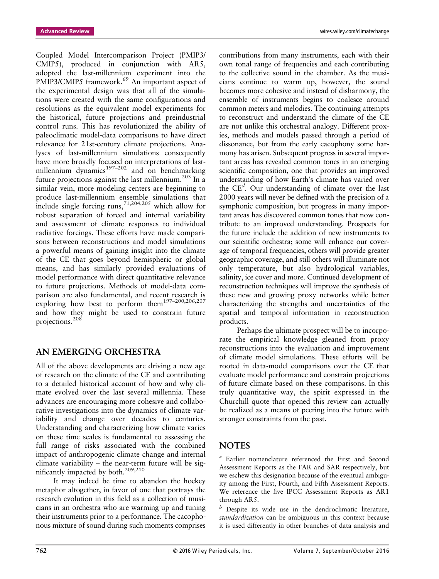Coupled Model Intercomparison Project (PMIP3/ CMIP5), produced in conjunction with AR5, adopted the last-millennium experiment into the PMIP3/CMIP5 framework.<sup>69</sup> An important aspect of the experimental design was that all of the simulations were created with the same configurations and resolutions as the equivalent model experiments for the historical, future projections and preindustrial control runs. This has revolutionized the ability of paleoclimatic model-data comparisons to have direct relevance for 21st-century climate projections. Analyses of last-millennium simulations consequently have more broadly focused on interpretations of lastmillennium dynamics $197-202$  and on benchmarking future projections against the last millennium.<sup>203</sup> In a similar vein, more modeling centers are beginning to produce last-millennium ensemble simulations that include single forcing runs,  $71,204,205$  which allow for robust separation of forced and internal variability and assessment of climate responses to individual radiative forcings. These efforts have made comparisons between reconstructions and model simulations a powerful means of gaining insight into the climate of the CE that goes beyond hemispheric or global means, and has similarly provided evaluations of model performance with direct quantitative relevance to future projections. Methods of model-data comparison are also fundamental, and recent research is exploring how best to perform them197–200,206,207 and how they might be used to constrain future projections.<sup>208</sup>

## **AN EMERGING ORCHESTRA**

All of the above developments are driving a new age of research on the climate of the CE and contributing to a detailed historical account of how and why climate evolved over the last several millennia. These advances are encouraging more cohesive and collaborative investigations into the dynamics of climate variability and change over decades to centuries. Understanding and characterizing how climate varies on these time scales is fundamental to assessing the full range of risks associated with the combined impact of anthropogenic climate change and internal climate variability – the near-term future will be significantly impacted by both.209,210

It may indeed be time to abandon the hockey metaphor altogether, in favor of one that portrays the research evolution in this field as a collection of musicians in an orchestra who are warming up and tuning their instruments prior to a performance. The cacophonous mixture of sound during such moments comprises contributions from many instruments, each with their own tonal range of frequencies and each contributing to the collective sound in the chamber. As the musicians continue to warm up, however, the sound becomes more cohesive and instead of disharmony, the ensemble of instruments begins to coalesce around common meters and melodies. The continuing attempts to reconstruct and understand the climate of the CE are not unlike this orchestral analogy. Different proxies, methods and models passed through a period of dissonance, but from the early cacophony some harmony has arisen. Subsequent progress in several important areas has revealed common tones in an emerging scientific composition, one that provides an improved understanding of how Earth's climate has varied over the CE*<sup>d</sup>* . Our understanding of climate over the last 2000 years will never be defined with the precision of a symphonic composition, but progress in many important areas has discovered common tones that now contribute to an improved understanding. Prospects for the future include the addition of new instruments to our scientific orchestra; some will enhance our coverage of temporal frequencies, others will provide greater geographic coverage, and still others will illuminate not only temperature, but also hydrological variables, salinity, ice cover and more. Continued development of reconstruction techniques will improve the synthesis of these new and growing proxy networks while better characterizing the strengths and uncertainties of the spatial and temporal information in reconstruction products.

Perhaps the ultimate prospect will be to incorporate the empirical knowledge gleaned from proxy reconstructions into the evaluation and improvement of climate model simulations. These efforts will be rooted in data-model comparisons over the CE that evaluate model performance and constrain projections of future climate based on these comparisons. In this truly quantitative way, the spirit expressed in the Churchill quote that opened this review can actually be realized as a means of peering into the future with stronger constraints from the past.

#### **NOTES**

*<sup>a</sup>* Earlier nomenclature referenced the First and Second Assessment Reports as the FAR and SAR respectively, but we eschew this designation because of the eventual ambiguity among the First, Fourth, and Fifth Assessment Reports. We reference the five IPCC Assessment Reports as AR1 through AR5.

*<sup>b</sup>* Despite its wide use in the dendroclimatic literature, *standardization* can be ambiguous in this context because it is used differently in other branches of data analysis and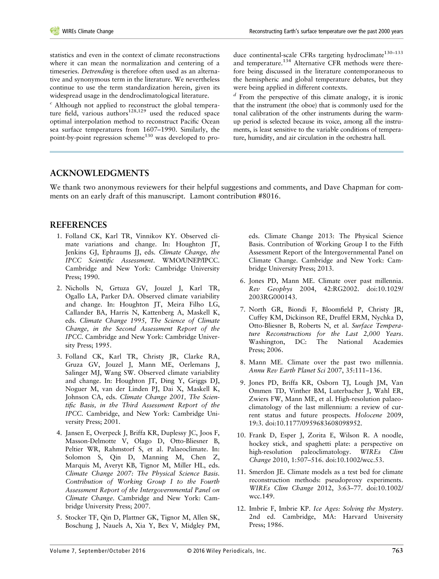statistics and even in the context of climate reconstructions where it can mean the normalization and centering of a timeseries. *Detrending* is therefore often used as an alternative and synonymous term in the literature. We nevertheless continue to use the term standardization herein, given its widespread usage in the dendroclimatological literature.

*<sup>c</sup>* Although not applied to reconstruct the global temperature field, various authors<sup>128,129</sup> used the reduced space optimal interpolation method to reconstruct Pacific Ocean sea surface temperatures from 1607–1990. Similarly, the point-by-point regression scheme<sup>130</sup> was developed to produce continental-scale CFRs targeting hydroclimate<sup>130-133</sup> and temperature.<sup>134</sup> Alternative CFR methods were therefore being discussed in the literature contemporaneous to the hemispheric and global temperature debates, but they were being applied in different contexts.

*<sup>d</sup>* From the perspective of this climate analogy, it is ironic that the instrument (the oboe) that is commonly used for the tonal calibration of the other instruments during the warmup period is selected because its voice, among all the instruments, is least sensitive to the variable conditions of temperature, humidity, and air circulation in the orchestra hall.

#### **ACKNOWLEDGMENTS**

We thank two anonymous reviewers for their helpful suggestions and comments, and Dave Chapman for comments on an early draft of this manuscript. Lamont contribution #8016.

#### **REFERENCES**

- 1. Folland CK, Karl TR, Vinnikov KY. Observed climate variations and change. In: Houghton JT, Jenkins GJ, Ephraums JJ, eds. *Climate Change, the IPCC Scientific Assessment*. WMO/UNEP/IPCC. Cambridge and New York: Cambridge University Press; 1990.
- 2. Nicholls N, Grtuza GV, Jouzel J, Karl TR, Ogallo LA, Parker DA. Observed climate variability and change. In: Houghton JT, Meira Filho LG, Callander BA, Harris N, Kattenberg A, Maskell K, eds. *Climate Change 1995, The Science of Climate Change, in the Second Assessment Report of the IPCC*. Cambridge and New York: Cambridge University Press; 1995.
- 3. Folland CK, Karl TR, Christy JR, Clarke RA, Gruza GV, Jouzel J, Mann ME, Oerlemans J, Salinger MJ, Wang SW. Observed climate variability and change. In: Houghton JT, Ding Y, Griggs DJ, Noguer M, van der Linden PJ, Dai X, Maskell K, Johnson CA, eds. *Climate Change 2001, The Scientific Basis, in the Third Assessment Report of the IPCC*. Cambridge, and New York: Cambridge University Press; 2001.
- 4. Jansen E, Overpeck J, Briffa KR, Duplessy JC, Joos F, Masson-Delmotte V, Olago D, Otto-Bliesner B, Peltier WR, Rahmstorf S, et al. Palaeoclimate. In: Solomon S, Qin D, Manning M, Chen Z, Marquis M, Averyt KB, Tignor M, Miller HL, eds. *Climate Change 2007: The Physical Science Basis. Contribution of Working Group I to the Fourth Assessment Report of the Intergovernmental Panel on Climate Change*. Cambridge and New York: Cambridge University Press; 2007.
- 5. Stocker TF, Qin D, Plattner GK, Tignor M, Allen SK, Boschung J, Nauels A, Xia Y, Bex V, Midgley PM,

eds. Climate Change 2013: The Physical Science Basis. Contribution of Working Group I to the Fifth Assessment Report of the Intergovernmental Panel on Climate Change. Cambridge and New York: Cambridge University Press; 2013.

- 6. Jones PD, Mann ME. Climate over past millennia. *Rev Geophys* 2004, 42:RG2002. doi:[10.1029/](http://dx.doi.org/10.1029/2003RG000143) [2003RG000143.](http://dx.doi.org/10.1029/2003RG000143)
- 7. North GR, Biondi F, Bloomfield P, Christy JR, Cuffey KM, Dickinson RE, Druffel ERM, Nychka D, Otto-Bliesner B, Roberts N, et al. *Surface Temperature Reconstructions for the Last 2,000 Years*. Washington, DC: The National Academies Press; 2006.
- 8. Mann ME. Climate over the past two millennia. *Annu Rev Earth Planet Sci* 2007, 35:111–136.
- 9. Jones PD, Briffa KR, Osborn TJ, Lough JM, Van Ommen TD, Vinther BM, Luterbacher J, Wahl ER, Zwiers FW, Mann ME, et al. High-resolution palaeoclimatology of the last millennium: a review of current status and future prospects. *Holocene* 2009, 19:3. doi:[10.1177/0959683608098952.](http://dx.doi.org/10.1177/0959683608098952)
- 10. Frank D, Esper J, Zorita E, Wilson R. A noodle, hockey stick, and spaghetti plate: a perspective on high-resolution paleoclimatology. *WIREs Clim Change* 2010, 1:507–516. doi[:10.1002/wcc.53](http://dx.doi.org/10.1002/wcc.53).
- 11. Smerdon JE. Climate models as a test bed for climate reconstruction methods: pseudoproxy experiments. *WIREs Clim Change* 2012, 3:63–77. doi:[10.1002/](http://dx.doi.org/10.1002/wcc.149) [wcc.149](http://dx.doi.org/10.1002/wcc.149).
- 12. Imbrie F, Imbrie KP. *Ice Ages: Solving the Mystery*. 2nd ed. Cambridge, MA: Harvard University Press; 1986.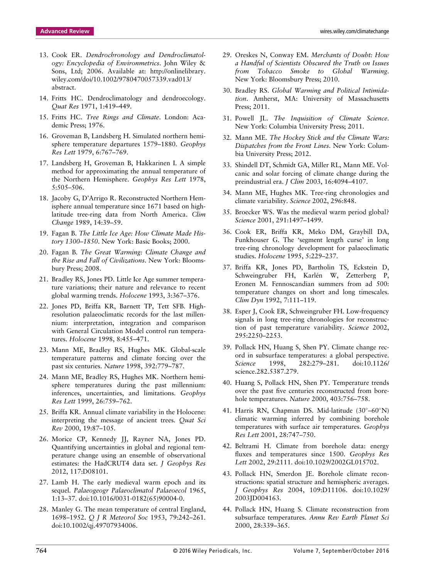- 13. Cook ER. *Dendrochronology and Dendroclimatology: Encyclopedia of Environmetrics*. John Wiley & Sons, Ltd; 2006. Available at: http://onlinelibrary. wiley.com/doi/10.1002/9780470057339.vad013/ abstract.
- 14. Fritts HC. Dendroclimatology and dendroecology. *Quat Res* 1971, 1:419–449.
- 15. Fritts HC. *Tree Rings and Climate*. London: Academic Press; 1976.
- 16. Groveman B, Landsberg H. Simulated northern hemisphere temperature departures 1579–1880. *Geophys Res Lett* 1979, 6:767–769.
- 17. Landsberg H, Groveman B, Hakkarinen I. A simple method for approximating the annual temperature of the Northern Hemisphere. *Geophys Res Lett* 1978, 5:505–506.
- 18. Jacoby G, D'Arrigo R. Reconstructed Northern Hemisphere annual temperature since 1671 based on highlatitude tree-ring data from North America. *Clim Change* 1989, 14:39–59.
- 19. Fagan B. *The Little Ice Age: How Climate Made History 1300–1850*. New York: Basic Books; 2000.
- 20. Fagan B. *The Great Warming: Climate Change and the Rise and Fall of Civilizations*. New York: Bloomsbury Press; 2008.
- 21. Bradley RS, Jones PD. Little Ice Age summer temperature variations; their nature and relevance to recent global warming trends. *Holocene* 1993, 3:367–376.
- 22. Jones PD, Briffa KR, Barnett TP, Tett SFB. Highresolution palaeoclimatic records for the last millennium: interpretation, integration and comparison with General Circulation Model control run temperatures. *Holocene* 1998, 8:455–471.
- 23. Mann ME, Bradley RS, Hughes MK. Global-scale temperature patterns and climate forcing over the past six centuries. *Nature* 1998, 392:779–787.
- 24. Mann ME, Bradley RS, Hughes MK. Northern hemisphere temperatures during the past millennium: inferences, uncertainties, and limitations. *Geophys Res Lett* 1999, 26:759–762.
- 25. Briffa KR. Annual climate variability in the Holocene: interpreting the message of ancient trees. *Quat Sci Rev* 2000, 19:87–105.
- 26. Morice CP, Kennedy JJ, Rayner NA, Jones PD. Quantifying uncertainties in global and regional temperature change using an ensemble of observational estimates: the HadCRUT4 data set. *J Geophys Res* 2012, 117:D08101.
- 27. Lamb H. The early medieval warm epoch and its sequel. *Palaeogeogr Palaeoclimatol Palaeoecol* 1965, 1:13–37. doi[:10.1016/0031-0182\(65\)90004-0](http://dx.doi.org/10.1016/0031-0182(65)90004-0).
- 28. Manley G. The mean temperature of central England, 1698–1952. *Q J R Meteorol Soc* 1953, 79:242–261. doi:[10.1002/qj.49707934006.](http://dx.doi.org/10.1002/qj.49707934006)
- 29. Oreskes N, Conway EM. *Merchants of Doubt: How a Handful of Scientists Obscured the Truth on Issues from Tobacco Smoke to Global Warming*. New York: Bloomsbury Press; 2010.
- 30. Bradley RS. *Global Warming and Political Intimidation*. Amherst, MA: University of Massachusetts Press; 2011.
- 31. Powell JL. *The Inquisition of Climate Science*. New York: Columbia University Press; 2011.
- 32. Mann ME. *The Hockey Stick and the Climate Wars: Dispatches from the Front Lines*. New York: Columbia University Press; 2012.
- 33. Shindell DT, Schmidt GA, Miller RL, Mann ME. Volcanic and solar forcing of climate change during the preindustrial era. *J Clim* 2003, 16:4094–4107.
- 34. Mann ME, Hughes MK. Tree-ring chronologies and climate variability. *Science* 2002, 296:848.
- 35. Broecker WS. Was the medieval warm period global? *Science* 2001, 291:1497–1499.
- 36. Cook ER, Briffa KR, Meko DM, Graybill DA, Funkhouser G. The 'segment length curse' in long tree-ring chronology development for palaeoclimatic studies. *Holocene* 1995, 5:229–237.
- 37. Briffa KR, Jones PD, Bartholin TS, Eckstein D, Schweingruber FH, Karlén W, Zetterberg P, Eronen M. Fennoscandian summers from ad 500: temperature changes on short and long timescales. *Clim Dyn* 1992, 7:111–119.
- 38. Esper J, Cook ER, Schweingruber FH. Low-frequency signals in long tree-ring chronologies for reconstruction of past temperature variability. *Science* 2002, 295:2250–2253.
- 39. Pollack HN, Huang S, Shen PY. Climate change record in subsurface temperatures: a global perspective. *Science* 1998, 282:279–281. doi:[10.1126/](http://dx.doi.org/10.1126/science.282.5387.279) [science.282.5387.279.](http://dx.doi.org/10.1126/science.282.5387.279)
- 40. Huang S, Pollack HN, Shen PY. Temperature trends over the past five centuries reconstructed from borehole temperatures. *Nature* 2000, 403:756–758.
- 41. Harris RN, Chapman DS. Mid-latitude  $(30^{\circ} 60^{\circ} N)$ climatic warming inferred by combining borehole temperatures with surface air temperatures. *Geophys Res Lett* 2001, 28:747–750.
- 42. Beltrami H. Climate from borehole data: energy fluxes and temperatures since 1500. *Geophys Res Lett* 2002, 29:2111. doi[:10.1029/2002GL015702](http://dx.doi.org/10.1029/2002GL015702).
- 43. Pollack HN, Smerdon JE. Borehole climate reconstructions: spatial structure and hemispheric averages. *J Geophys Res* 2004, 109:D11106. doi:[10.1029/](http://dx.doi.org/10.1029/2003JD004163) [2003JD004163](http://dx.doi.org/10.1029/2003JD004163).
- 44. Pollack HN, Huang S. Climate reconstruction from subsurface temperatures. *Annu Rev Earth Planet Sci* 2000, 28:339–365.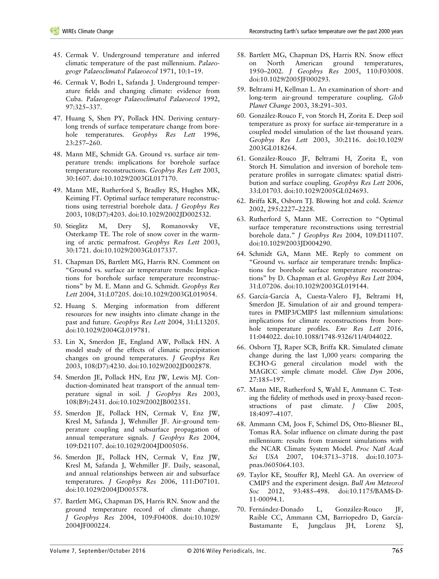- 45. Cermak V. Underground temperature and inferred climatic temperature of the past millennium. *Palaeogeogr Palaeoclimatol Palaeoecol* 1971, 10:1–19.
- 46. Cermak V, Bodri L, Safanda J. Underground temperature fields and changing climate: evidence from Cuba. *Palaeogeogr Palaeoclimatol Palaeoecol* 1992, 97:325–337.
- 47. Huang S, Shen PY, Pollack HN. Deriving centurylong trends of surface temperature change from borehole temperatures. *Geophys Res Lett* 1996, 23:257–260.
- 48. Mann ME, Schmidt GA. Ground vs. surface air temperature trends: implications for borehole surface temperature reconstructions. *Geophys Res Lett* 2003, 30:1607. doi:[10.1029/2003GL017170.](http://dx.doi.org/10.1029/2003GL017170)
- 49. Mann ME, Rutherford S, Bradley RS, Hughes MK, Keiming FT. Optimal surface temperature reconstructions using terrestrial borehole data. *J Geophys Res* 2003, 108(D7):4203. doi:[10.1029/2002JD002532](http://dx.doi.org/10.1029/2002JD002532).
- 50. Stieglitz M, Dery SJ, Romanovsky VE, Osterkamp TE. The role of snow cover in the warming of arctic permafrost. *Geophys Res Lett* 2003, 30:1721. doi:[10.1029/2003GL017337.](http://dx.doi.org/10.1029/2003GL017337)
- 51. Chapman DS, Bartlett MG, Harris RN. Comment on "Ground vs. surface air temperature trends: Implications for borehole surface temperature reconstructions" by M. E. Mann and G. Schmidt. *Geophys Res Lett* 2004, 31:L07205. doi:[10.1029/2003GL019054](http://dx.doi.org/10.1029/2003GL019054).
- 52. Huang S. Merging information from different resources for new insights into climate change in the past and future. *Geophys Res Lett* 2004, 31:L13205. doi:[10.1029/2004GL019781](http://dx.doi.org/10.1029/2004GL019781).
- 53. Lin X, Smerdon JE, England AW, Pollack HN. A model study of the effects of climatic precipitation changes on ground temperatures. *J Geophys Res* 2003, 108(D7):4230. doi:[10.1029/2002JD002878](http://dx.doi.org/10.1029/2002JD002878).
- 54. Smerdon JE, Pollack HN, Enz JW, Lewis MJ. Conduction-dominated heat transport of the annual temperature signal in soil. *J Geophys Res* 2003, 108(B9):2431. doi[:10.1029/2002JB002351](http://dx.doi.org/10.1029/2002JB002351).
- 55. Smerdon JE, Pollack HN, Cermak V, Enz JW, Kresl M, Safanda J, Wehmiller JF. Air-ground temperature coupling and subsurface propagation of annual temperature signals. *J Geophys Res* 2004, 109:D21107. doi:[10.1029/2004JD005056](http://dx.doi.org/10.1029/2004JD005056).
- 56. Smerdon JE, Pollack HN, Cermak V, Enz JW, Kresl M, Safanda J, Wehmiller JF. Daily, seasonal, and annual relationships between air and subsurface temperatures. *J Geophys Res* 2006, 111:D07101. doi:[10.1029/2004JD005578](http://dx.doi.org/10.1029/2004JD005578).
- 57. Bartlett MG, Chapman DS, Harris RN. Snow and the ground temperature record of climate change. *J Geophys Res* 2004, 109:F04008. doi:[10.1029/](http://dx.doi.org/10.1029/2004JF000224) [2004JF000224.](http://dx.doi.org/10.1029/2004JF000224)
- 58. Bartlett MG, Chapman DS, Harris RN. Snow effect on North American ground temperatures, 1950–2002. *J Geophys Res* 2005, 110:F03008. doi:[10.1029/2005JF000293.](http://dx.doi.org/10.1029/2005JF000293)
- 59. Beltrami H, Kellman L. An examination of short- and long-term air-ground temperature coupling. *Glob Planet Change* 2003, 38:291–303.
- 60. González-Rouco F, von Storch H, Zorita E. Deep soil temperature as proxy for surface air-temperature in a coupled model simulation of the last thousand years. *Geophys Res Lett* 2003, 30:2116. doi:[10.1029/](http://dx.doi.org/10.1029/2003GL018264) [2003GL018264](http://dx.doi.org/10.1029/2003GL018264).
- 61. González-Rouco JF, Beltrami H, Zorita E, von Storch H. Simulation and inversion of borehole temperature profiles in surrogate climates: spatial distribution and surface coupling. *Geophys Res Lett* 2006, 33:L01703. doi:[10.1029/2005GL024693](http://dx.doi.org/10.1029/2005GL024693).
- 62. Briffa KR, Osborn TJ. Blowing hot and cold. *Science* 2002, 295:2227–2228.
- 63. Rutherford S, Mann ME. Correction to "Optimal surface temperature reconstructions using terrestrial borehole data." *J Geophys Res* 2004, 109:D11107. doi:[10.1029/2003JD004290.](http://dx.doi.org/10.1029/2003JD004290)
- 64. Schmidt GA, Mann ME. Reply to comment on "Ground vs. surface air temperature trends: Implications for borehole surface temperature reconstructions" by D. Chapman et al. *Geophys Res Lett* 2004, 31:L07206. doi:[10.1029/2003GL019144](http://dx.doi.org/10.1029/2003GL019144).
- 65. García-García A, Cuesta-Valero FJ, Beltrami H, Smerdon JE. Simulation of air and ground temperatures in PMIP3/CMIP5 last millennium simulations: implications for climate reconstructions from borehole temperature profiles. *Env Res Lett* 2016, 11:044022. doi[:10.1088/1748-9326/11/4/044022](http://dx.doi.org/10.1088/1748-9326/11/4/044022).
- 66. Osborn TJ, Raper SCB, Briffa KR. Simulated climate change during the last 1,000 years: comparing the ECHO-G general circulation model with the MAGICC simple climate model. *Clim Dyn* 2006, 27:185–197.
- 67. Mann ME, Rutherford S, Wahl E, Ammann C. Testing the fidelity of methods used in proxy-based reconstructions of past climate. *J Clim* 2005, 18:4097–4107.
- 68. Ammann CM, Joos F, Schimel DS, Otto-Bliesner BL, Tomas RA. Solar influence on climate during the past millennium: results from transient simulations with the NCAR Climate System Model. *Proc Natl Acad Sci USA* 2007, 104:3713–3718. doi[:10.1073](http://dx.doi.org/10.1073-pnas.0605064.103) [pnas.0605064.103](http://dx.doi.org/10.1073-pnas.0605064.103).
- 69. Taylor KE, Stouffer RJ, Meehl GA. An overview of CMIP5 and the experiment design. *Bull Am Meteorol Soc* 2012, 93:485–498. doi:[10.1175/BAMS-D-](http://dx.doi.org/10.1175/BAMS-D-11-00094.1)[11-00094.1](http://dx.doi.org/10.1175/BAMS-D-11-00094.1).
- 70. Fernández-Donado L, González-Rouco JF, Raible CC, Ammann CM, Barriopedro D, García-Bustamante E, Jungclaus JH, Lorenz SJ,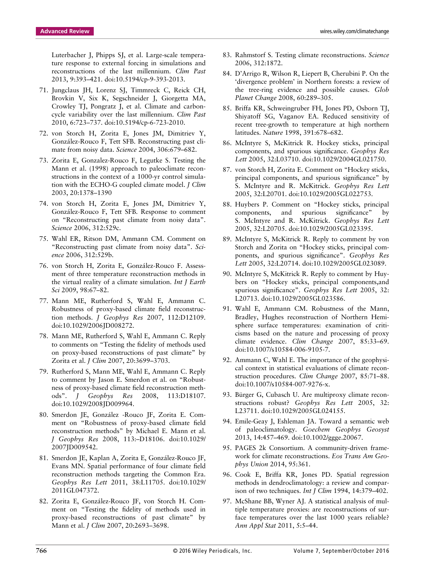Luterbacher J, Phipps SJ, et al. Large-scale temperature response to external forcing in simulations and reconstructions of the last millennium. *Clim Past* 2013, 9:393–421. doi[:10.5194/cp-9-393-2013](http://dx.doi.org/10.5194/cp-9-393-2013).

- 71. Jungclaus JH, Lorenz SJ, Timmreck C, Reick CH, Brovkin V, Six K, Segschneider J, Giorgetta MA, Crowley TJ, Pongratz J, et al. Climate and carboncycle variability over the last millennium. *Clim Past* 2010, 6:723–737. doi[:10.5194/cp-6-723-2010](http://dx.doi.org/10.5194/cp-6-723-2010).
- 72. von Storch H, Zorita E, Jones JM, Dimitriev Y, González-Rouco F, Tett SFB. Reconstructing past climate from noisy data. *Science* 2004, 306:679–682.
- 73. Zorita E, Gonzalez-Rouco F, Legutke S. Testing the Mann et al. (1998) approach to paleoclimate reconstructions in the context of a 1000-yr control simulation with the ECHO-G coupled climate model. *J Clim* 2003, 20:1378–1390
- 74. von Storch H, Zorita E, Jones JM, Dimitriev Y, González-Rouco F, Tett SFB. Response to comment on "Reconstructing past climate from noisy data". *Science* 2006, 312:529c.
- 75. Wahl ER, Ritson DM, Ammann CM. Comment on "Reconstructing past climate from noisy data". *Science* 2006, 312:529b.
- 76. von Storch H, Zorita E, González-Rouco F. Assessment of three temperature reconstruction methods in the virtual reality of a climate simulation. *Int J Earth Sci* 2009, 98:67–82.
- 77. Mann ME, Rutherford S, Wahl E, Ammann C. Robustness of proxy-based climate field reconstruction methods. *J Geophys Res* 2007, 112:D12109. doi:[10.1029/2006JD008272](http://dx.doi.org/10.1029/2006JD008272).
- 78. Mann ME, Rutherford S, Wahl E, Ammann C. Reply to comments on "Testing the fidelity of methods used on proxy-based reconstructions of past climate" by Zorita et al. *J Clim* 2007, 20:3699–3703.
- 79. Rutherford S, Mann ME, Wahl E, Ammann C. Reply to comment by Jason E. Smerdon et al. on "Robustness of proxy-based climate field reconstruction methods". *J Geophys Res* 2008, 113:D18107. doi:[10.1029/2008JD009964](http://dx.doi.org/10.1029/2008JD009964).
- 80. Smerdon JE, González -Rouco JF, Zorita E. Comment on "Robustness of proxy-based climate field reconstruction methods" by Michael E. Mann et al. *J Geophys Res* 2008, 113:–D18106. doi:[10.1029/](http://dx.doi.org/10.1029/2007JD009542) [2007JD009542.](http://dx.doi.org/10.1029/2007JD009542)
- 81. Smerdon JE, Kaplan A, Zorita E, González-Rouco JF, Evans MN. Spatial performance of four climate field reconstruction methods targeting the Common Era. *Geophys Res Lett* 2011, 38:L11705. doi:[10.1029/](http://dx.doi.org/10.1029/2011GL047372) [2011GL047372.](http://dx.doi.org/10.1029/2011GL047372)
- 82. Zorita E, González-Rouco JF, von Storch H. Comment on "Testing the fidelity of methods used in proxy-based reconstructions of past climate" by Mann et al. *J Clim* 2007, 20:2693–3698.
- 83. Rahmstorf S. Testing climate reconstructions. *Science* 2006, 312:1872.
- 84. D'Arrigo R, Wilson R, Liepert B, Cherubini P. On the 'divergence problem' in Northern forests: a review of the tree-ring evidence and possible causes. *Glob Planet Change* 2008, 60:289–305.
- 85. Briffa KR, Schweingruber FH, Jones PD, Osborn TJ, Shiyatoff SG, Vaganov EA. Reduced sensitivity of recent tree-growth to temperature at high northern latitudes. *Nature* 1998, 391:678–682.
- 86. McIntyre S, McKitrick R. Hockey sticks, principal components, and spurious significance. *Geophys Res Lett* 2005, 32:L03710. doi:[10.1029/2004GL021750](http://dx.doi.org/10.1029/2004GL021750).
- 87. von Storch H, Zorita E. Comment on "Hockey sticks, principal components, and spurious significance" by S. McIntyre and R. McKitrick. *Geophys Res Lett* 2005, 32:L20701. doi[:10.1029/2005GL022753](http://dx.doi.org/10.1029/2005GL022753).
- 88. Huybers P. Comment on "Hockey sticks, principal components, and spurious significance" by S. McIntyre and R. McKitrick. *Geophys Res Lett* 2005, 32:L20705. doi[:10.1029/2005GL023395](http://dx.doi.org/10.1029/2005GL023395).
- 89. McIntyre S, McKitrick R. Reply to comment by von Storch and Zorita on "Hockey sticks, principal components, and spurious significance". *Geophys Res Lett* 2005, 32:L20714. doi:[10.1029/2005GL023089](http://dx.doi.org/10.1029/2005GL023089).
- 90. McIntyre S, McKitrick R. Reply to comment by Huybers on "Hockey sticks, principal components,and spurious significance". *Geophys Res Lett* 2005, 32: L20713. doi[:10.1029/2005GL023586.](http://dx.doi.org/10.1029/2005GL023586)
- 91. Wahl E, Ammann CM. Robustness of the Mann, Bradley, Hughes reconstruction of Northern Hemisphere surface temperatures: examination of criticisms based on the nature and processing of proxy climate evidence. *Clim Change* 2007, 85:33–69. doi:[10.1007/s10584-006-9105-7](http://dx.doi.org/10.1007/s10584-006-9105-7).
- 92. Ammann C, Wahl E. The importance of the geophysical context in statistical evaluations of climate reconstruction procedures. *Clim Change* 2007, 85:71–88. doi:[10.1007/s10584-007-9276-x](http://dx.doi.org/10.1007/s10584-007-9276-x).
- 93. Bürger G, Cubasch U. Are multiproxy climate reconstructions robust? *Geophys Res Lett* 2005, 32: L23711. doi[:10.1029/2005GL024155.](http://dx.doi.org/10.1029/2005GL024155)
- 94. Emile-Geay J, Eshleman JA. Toward a semantic web of paleoclimatology. *Goechem Geophys Geosyst* 2013, 14:457–469. doi[:10.1002/ggge.20067.](http://dx.doi.org/10.1002/ggge.20067)
- 95. PAGES 2k Consortium. A community-driven framework for climate reconstructions. *Eos Trans Am Geophys Union* 2014, 95:361.
- 96. Cook E, Briffa KR, Jones PD. Spatial regression methods in dendroclimatology: a review and comparison of two techniques. *Int J Clim* 1994, 14:379–402.
- 97. McShane BB, Wyner AJ. A statistical analysis of multiple temperature proxies: are reconstructions of surface temperatures over the last 1000 years reliable? *Ann Appl Stat* 2011, 5:5–44.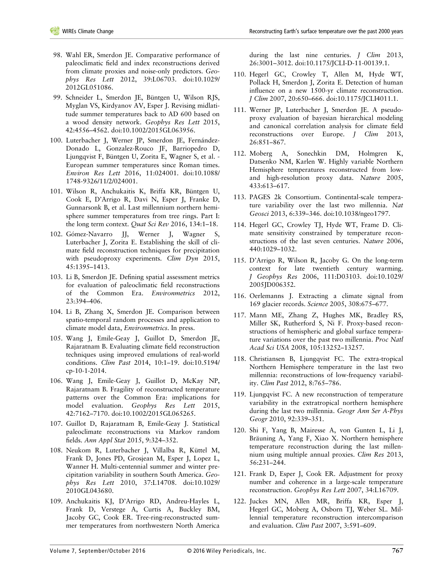- 98. Wahl ER, Smerdon JE. Comparative performance of paleoclimatic field and index reconstructions derived from climate proxies and noise-only predictors. *Geophys Res Lett* 2012, 39:L06703. doi:[10.1029/](http://dx.doi.org/10.1029/2012GL051086) [2012GL051086.](http://dx.doi.org/10.1029/2012GL051086)
- 99. Schneider L, Smerdon JE, Büntgen U, Wilson RJS, Myglan VS, Kirdyanov AV, Esper J. Revising midlatitude summer temperatures back to AD 600 based on a wood density network. *Geophys Res Lett* 2015, 42:4556–4562. doi[:10.1002/2015GL063956.](http://dx.doi.org/10.1002/2015GL063956)
- 100. Luterbacher J, Werner JP, Smerdon JE, Fernández-Donado L, Gonzalez-Rouco JF, Barriopedro D, Ljungqvist F, Büntgen U, Zorita E, Wagner S, et al. - European summer temperatures since Roman times. *Environ Res Lett* 2016, 11:024001. doi:[10.1088/](http://dx.doi.org/10.1088/1748-9326/11/2/024001) [1748-9326/11/2/024001.](http://dx.doi.org/10.1088/1748-9326/11/2/024001)
- 101. Wilson R, Anchukaitis K, Briffa KR, Büntgen U, Cook E, D'Arrigo R, Davi N, Esper J, Franke D, Gunnarsonk B, et al. Last millennium northern hemisphere summer temperatures from tree rings. Part I: the long term context. *Quat Sci Rev* 2016, 134:1–18.
- 102. Gómez-Navarro JJ, Werner J, Wagner S, Luterbacher J, Zorita E. Establishing the skill of climate field reconstruction techniques for precipitation with pseudoproxy experiments. *Clim Dyn* 2015, 45:1395–1413.
- 103. Li B, Smerdon JE. Defining spatial assessment metrics for evaluation of paleoclimatic field reconstructions of the Common Era. *Environmetrics* 2012, 23:394–406.
- 104. Li B, Zhang X, Smerdon JE. Comparison between spatio-temporal random processes and application to climate model data, *Environmetrics*. In press.
- 105. Wang J, Emile-Geay J, Guillot D, Smerdon JE, Rajaratnam B. Evaluating climate field reconstruction techniques using improved emulations of real-world conditions. *Clim Past* 2014, 10:1–19. doi:[10.5194/](http://dx.doi.org/10.5194/cp-10-1-2014) [cp-10-1-2014.](http://dx.doi.org/10.5194/cp-10-1-2014)
- 106. Wang J, Emile-Geay J, Guillot D, McKay NP, Rajaratnam B. Fragility of reconstructed temperature patterns over the Common Era: implications for model evaluation. *Geophys Res Lett* 2015, 42:7162–7170. doi:[10.1002/2015GL065265](http://dx.doi.org/10.1002/2015GL065265).
- 107. Guillot D, Rajaratnam B, Emile-Geay J. Statistical paleoclimate reconstructions via Markov random fields. *Ann Appl Stat* 2015, 9:324–352.
- 108. Neukom R, Luterbacher J, Villalba R, Küttel M, Frank D, Jones PD, Grosjean M, Esper J, Lopez L, Wanner H. Multi-centennial summer and winter precipitation variability in southern South America. *Geophys Res Lett* 2010, 37:L14708. doi:[10.1029/](http://dx.doi.org/10.1029/2010GL043680) [2010GL043680](http://dx.doi.org/10.1029/2010GL043680).
- 109. Anchukaitis KJ, D'Arrigo RD, Andreu-Hayles L, Frank D, Verstege A, Curtis A, Buckley BM, Jacoby GC, Cook ER. Tree-ring-reconstructed summer temperatures from northwestern North America

during the last nine centuries. *J Clim* 2013, 26:3001–3012. doi:[10.1175/JCLI-D-11-00139.1.](http://dx.doi.org/10.1175/JCLI-D-11-00139.1)

- 110. Hegerl GC, Crowley T, Allen M, Hyde WT, Pollack H, Smerdon J, Zorita E. Detection of human influence on a new 1500-yr climate reconstruction. *J Clim* 2007, 20:650–666. doi[:10.1175/JCLI4011.1.](http://dx.doi.org/10.1175/JCLI4011.1)
- 111. Werner JP, Luterbacher J, Smerdon JE. A pseudoproxy evaluation of bayesian hierarchical modeling and canonical correlation analysis for climate field reconstructions over Europe. *J Clim* 2013, 26:851–867.
- 112. Moberg A, Sonechkin DM, Holmgren K, Datsenko NM, Karlen W. Highly variable Northern Hemisphere temperatures reconstructed from lowand high-resolution proxy data. *Nature* 2005, 433:613–617.
- 113. PAGES 2k Consortium. Continental-scale temperature variability over the last two millennia. *Nat Geosci* 2013, 6:339–346. doi:[10.1038/ngeo1797.](http://dx.doi.org/10.1038/ngeo1797)
- 114. Hegerl GC, Crowley TJ, Hyde WT, Frame D. Climate sensitivity constrained by temperature reconstructions of the last seven centuries. *Nature* 2006, 440:1029–1032.
- 115. D'Arrigo R, Wilson R, Jacoby G. On the long-term context for late twentieth century warming. *J Geophys Res* 2006, 111:D03103. doi:[10.1029/](http://dx.doi.org/10.1029/2005JD006352) [2005JD006352.](http://dx.doi.org/10.1029/2005JD006352)
- 116. Oerlemanns J. Extracting a climate signal from 169 glacier records. *Science* 2005, 308:675–677.
- 117. Mann ME, Zhang Z, Hughes MK, Bradley RS, Miller SK, Rutherford S, Ni F. Proxy-based reconstructions of hemispheric and global surface temperature variations over the past two millennia. *Proc Natl Acad Sci USA* 2008, 105:13252–13257.
- 118. Christiansen B, Ljungqvist FC. The extra-tropical Northern Hemisphere temperature in the last two millennia: reconstructions of low-frequency variability. *Clim Past* 2012, 8:765–786.
- 119. Ljungqvist FC. A new reconstruction of temperature variability in the extratropical northern hemisphere during the last two millennia. *Geogr Ann Ser A-Phys Geogr* 2010, 92:339–351.
- 120. Shi F, Yang B, Mairesse A, von Gunten L, Li J, Bräuning A, Yang F, Xiao X. Northern hemisphere temperature reconstruction during the last millennium using multiple annual proxies. *Clim Res* 2013, 56:231–244.
- 121. Frank D, Esper J, Cook ER. Adjustment for proxy number and coherence in a large-scale temperature reconstruction. *Geophys Res Lett* 2007, 34:L16709.
- 122. Juckes MN, Allen MR, Briffa KR, Esper J, Hegerl GC, Moberg A, Osborn TJ, Weber SL. Millennial temperature reconstruction intercomparison and evaluation. *Clim Past* 2007, 3:591–609.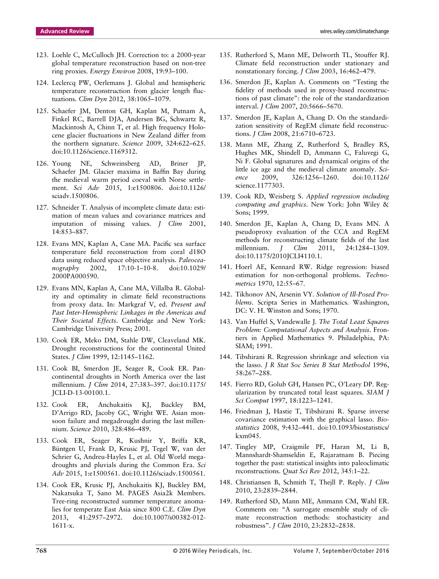- 123. Loehle C, McCulloch JH. Correction to: a 2000-year global temperature reconstruction based on non-tree ring proxies. *Energy Environ* 2008, 19:93–100.
- 124. Leclercq PW, Oerlemans J. Global and hemispheric temperature reconstruction from glacier length fluctuations. *Clim Dyn* 2012, 38:1065–1079.
- 125. Schaefer JM, Denton GH, Kaplan M, Putnam A, Finkel RC, Barrell DJA, Andersen BG, Schwartz R, Mackintosh A, Chinn T, et al. High frequency Holocene glacier fluctuations in New Zealand differ from the northern signature. *Science* 2009, 324:622–625. doi[:10.1126/science.1169312.](http://dx.doi.org/10.1126/science.1169312)
- 126. Young NE, Schweinsberg AD, Briner JP, Schaefer JM. Glacier maxima in Baffin Bay during the medieval warm period coeval with Norse settlement. *Sci Adv* 2015, 1:e1500806. doi:[10.1126/](http://dx.doi.org/10.1126/sciadv.1500806) [sciadv.1500806](http://dx.doi.org/10.1126/sciadv.1500806).
- 127. Schneider T. Analysis of incomplete climate data: estimation of mean values and covariance matrices and imputation of missing values. *J Clim* 2001, 14:853–887.
- 128. Evans MN, Kaplan A, Cane MA. Pacific sea surface temperature field reconstruction from coral d18O data using reduced space objective analysis. *Paleoceanography* 2002, 17:10-1–10-8. doi:[10.1029/](http://dx.doi.org/10.1029/2000PA000590) [2000PA000590](http://dx.doi.org/10.1029/2000PA000590).
- 129. Evans MN, Kaplan A, Cane MA, Villalba R. Globality and optimality in climate field reconstructions from proxy data. In: Markgraf V, ed. *Present and Past Inter-Hemispheric Linkages in the Americas and Their Societal Effects*. Cambridge and New York: Cambridge University Press; 2001.
- 130. Cook ER, Meko DM, Stahle DW, Cleaveland MK. Drought reconstructions for the continental United States. *J Clim* 1999, 12:1145–1162.
- 131. Cook BI, Smerdon JE, Seager R, Cook ER. Pancontinental droughts in North America over the last millennium. *J Clim* 2014, 27:383–397. doi:[10.1175/](http://dx.doi.org/10.1175/JCLI-D-13-00100.1) [JCLI-D-13-00100.1](http://dx.doi.org/10.1175/JCLI-D-13-00100.1).
- 132. Cook ER, Anchukaitis KJ, Buckley BM, D'Arrigo RD, Jacoby GC, Wright WE. Asian monsoon failure and megadrought during the last millennium. *Science* 2010, 328:486–489.
- 133. Cook ER, Seager R, Kushnir Y, Briffa KR, Büntgen U, Frank D, Krusic PJ, Tegel W, van der Schrier G, Andreu-Hayles L, et al. Old World megadroughts and pluvials during the Common Era. *Sci Adv* 2015, 1:e1500561. doi:[10.1126/sciadv.1500561](http://dx.doi.org/10.1126/sciadv.1500561).
- 134. Cook ER, Krusic PJ, Anchukaitis KJ, Buckley BM, Nakatsuka T, Sano M. PAGES Asia2k Members. Tree-ring reconstructed summer temperature anomalies for temperate East Asia since 800 C.E. *Clim Dyn* 2013, 41:2957–2972. doi:[10.1007/s00382-012-](http://dx.doi.org/10.1007/s00382-012-1611-x) [1611-x](http://dx.doi.org/10.1007/s00382-012-1611-x).
- 135. Rutherford S, Mann ME, Delworth TL, Stouffer RJ. Climate field reconstruction under stationary and nonstationary forcing. *J Clim* 2003, 16:462–479.
- 136. Smerdon JE, Kaplan A. Comments on "Testing the fidelity of methods used in proxy-based reconstructions of past climate": the role of the standardization interval. *J Clim* 2007, 20:5666–5670.
- 137. Smerdon JE, Kaplan A, Chang D. On the standardization sensitivity of RegEM climate field reconstructions. *J Clim* 2008, 21:6710–6723.
- 138. Mann ME, Zhang Z, Rutherford S, Bradley RS, Hughes MK, Shindell D, Ammann C, Faluvegi G, Ni F. Global signatures and dynamical origins of the little ice age and the medieval climate anomaly. *Science* 2009, 326:1256–1260. doi:[10.1126/](http://dx.doi.org/10.1126/science.1177303) [science.1177303](http://dx.doi.org/10.1126/science.1177303).
- 139. Cook RD, Weisberg S. *Applied regression including computing and graphics*. New York: John Wiley & Sons; 1999.
- 140. Smerdon JE, Kaplan A, Chang D, Evans MN. A pseudoproxy evaluation of the CCA and RegEM methods for reconstructing climate fields of the last millennium. *J Clim* 2011, 24:1284–1309. doi[:10.1175/2010JCLI4110.1](http://dx.doi.org/10.1175/2010JCLI4110.1).
- 141. Hoerl AE, Kennard RW. Ridge regression: biased estimation for non-orthogonal problems. *Technometrics* 1970, 12:55–67.
- 142. Tikhonov AN, Arsenin VY. *Solution of Ill-Posed Problems*. Scripta Series in Mathematics. Washington, DC: V. H. Winston and Sons; 1970.
- 143. Van Huffel S, Vandewalle J. *The Total Least Squares Problem: Computational Aspects and Analysis*. Frontiers in Applied Mathematics 9. Philadelphia, PA: SIAM; 1991.
- 144. Tibshirani R. Regression shrinkage and selection via the lasso. *J R Stat Soc Series B Stat Methodol* 1996, 58:267–288.
- 145. Fierro RD, Golub GH, Hansen PC, O'Leary DP. Regularization by truncated total least squares. *SIAM J Sci Comput* 1997, 18:1223–1241.
- 146. Friedman J, Hastie T, Tibshirani R. Sparse inverse covariance estimation with the graphical lasso. *Biostatistics* 2008, 9:432–441. doi:[10.1093/biostatistics/](http://dx.doi.org/10.1093/biostatistics/kxm045) [kxm045.](http://dx.doi.org/10.1093/biostatistics/kxm045)
- 147. Tingley MP, Craigmile PF, Haran M, Li B, Mannshardt-Shamseldin E, Rajaratnam B. Piecing together the past: statistical insights into paleoclimatic reconstructions. *Quat Sci Rev* 2012, 345:1–22.
- 148. Christiansen B, Schmith T, Thejll P. Reply. *J Clim* 2010, 23:2839–2844.
- 149. Rutherford SD, Mann ME, Ammann CM, Wahl ER. Comments on: "A surrogate ensemble study of climate reconstruction methods: stochasticity and robustness". *J Clim* 2010, 23:2832–2838.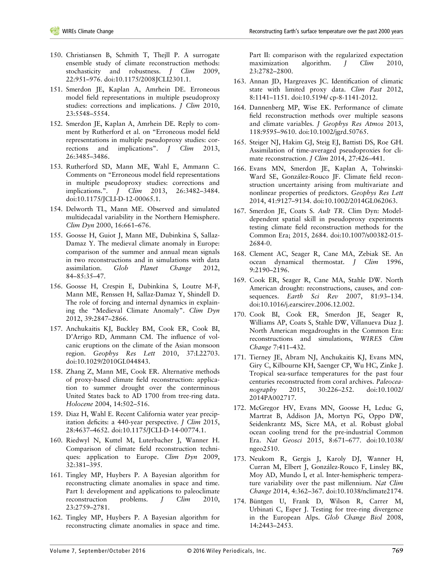- 150. Christiansen B, Schmith T, Thejll P. A surrogate ensemble study of climate reconstruction methods: stochasticity and robustness. *J Clim* 2009, 22:951–976. doi:[10.1175/2008JCLI2301.1.](http://dx.doi.org/10.1175/2008JCLI2301.1)
- 151. Smerdon JE, Kaplan A, Amrhein DE. Erroneous model field representations in multiple pseudoproxy studies: corrections and implications. *J Clim* 2010, 23:5548–5554.
- 152. Smerdon JE, Kaplan A, Amrhein DE. Reply to comment by Rutherford et al. on "Erroneous model field representations in multiple pseudoproxy studies: corrections and implications". *J Clim* 2013, 26:3485–3486.
- 153. Rutherford SD, Mann ME, Wahl E, Ammann C. Comments on "Erroneous model field representations in multiple pseudoproxy studies: corrections and implications.". *J Clim* 2013, 26:3482–3484. doi[:10.1175/JCLI-D-12-00065.1.](http://dx.doi.org/10.1175/JCLI-D-12-00065.1)
- 154. Delworth TL, Mann ME. Observed and simulated multidecadal variability in the Northern Hemisphere. *Clim Dyn* 2000, 16:661–676.
- 155. Goosse H, Guiot J, Mann ME, Dubinkina S, Sallaz-Damaz Y. The medieval climate anomaly in Europe: comparison of the summer and annual mean signals in two reconstructions and in simulations with data assimilation. *Glob Planet Change* 2012, 84–85:35–47.
- 156. Goosse H, Crespin E, Dubinkina S, Loutre M-F, Mann ME, Renssen H, Sallaz-Damaz Y, Shindell D. The role of forcing and internal dynamics in explaining the "Medieval Climate Anomaly". *Clim Dyn* 2012, 39:2847–2866.
- 157. Anchukaitis KJ, Buckley BM, Cook ER, Cook BI, D'Arrigo RD, Ammann CM. The influence of volcanic eruptions on the climate of the Asian monsoon region. *Geophys Res Lett* 2010, 37:L22703. doi[:10.1029/2010GL044843.](http://dx.doi.org/10.1029/2010GL044843)
- 158. Zhang Z, Mann ME, Cook ER. Alternative methods of proxy-based climate field reconstruction: application to summer drought over the conterminous United States back to AD 1700 from tree-ring data. *Holocene* 2004, 14:502–516.
- 159. Diaz H, Wahl E. Recent California water year precipitation deficits: a 440-year perspective. *J Clim* 2015, 28:4637–4652. doi:[10.1175/JCLI-D-14-00774.1](http://dx.doi.org/10.1175/JCLI-D-14-00774.1).
- 160. Riedwyl N, Kuttel M, Luterbacher J, Wanner H. Comparison of climate field reconstruction techniques: application to Europe. *Clim Dyn* 2009, 32:381–395.
- 161. Tingley MP, Huybers P. A Bayesian algorithm for reconstructing climate anomalies in space and time. Part I: development and applications to paleoclimate reconstruction problems. *J Clim* 2010, 23:2759–2781.
- 162. Tingley MP, Huybers P. A Bayesian algorithm for reconstructing climate anomalies in space and time.

Part II: comparison with the regularized expectation maximization algorithm. *J Clim* 2010, 23:2782–2800.

- 163. Annan JD, Hargreaves JC. Identification of climatic state with limited proxy data. *Clim Past* 2012, 8:1141–1151. doi[:10.5194/ cp-8-1141-2012.](http://dx.doi.org/10.5194/ cp-8-1141-2012)
- 164. Dannenberg MP, Wise EK. Performance of climate field reconstruction methods over multiple seasons and climate variables. *J Geophys Res Atmos* 2013, 118:9595–9610. doi:[10.1002/jgrd.50765](http://dx.doi.org/10.1002/jgrd.50765).
- 165. Steiger NJ, Hakim GJ, Steig EJ, Battisti DS, Roe GH. Assimilation of time-averaged pseudoproxies for climate reconstruction. *J Clim* 2014, 27:426–441.
- 166. Evans MN, Smerdon JE, Kaplan A, Tolwinski-Ward SE, González-Rouco JF. Climate field reconstruction uncertainty arising from multivariate and nonlinear properties of predictors. *Geophys Res Lett* 2014, 41:9127–9134. doi:[10.1002/2014GL062063.](http://dx.doi.org/10.1002/2014GL062063)
- 167. Smerdon JE, Coats S. *Ault TR*. Clim Dyn: Modeldependent spatial skill in pseudoproxy experiments testing climate field reconstruction methods for the Common Era; 2015, 2684. doi:[10.1007/s00382-015-](http://dx.doi.org/10.1007/s00382-015-2684-0) [2684-0](http://dx.doi.org/10.1007/s00382-015-2684-0).
- 168. Clement AC, Seager R, Cane MA, Zebiak SE. An ocean dynamical thermostat. *J Clim* 1996, 9:2190–2196.
- 169. Cook ER, Seager R, Cane MA, Stahle DW. North American drought: reconstructions, causes, and consequences. *Earth Sci Rev* 2007, 81:93–134. doi[:10.1016/j.earscirev.2006.12.002.](http://dx.doi.org/10.1016/j.earscirev.2006.12.002)
- 170. Cook BI, Cook ER, Smerdon JE, Seager R, Williams AP, Coats S, Stahle DW, Villanueva Diaz J. North American megadroughts in the Common Era: reconstructions and simulations, *WIRES Clim Change* 7:411–432.
- 171. Tierney JE, Abram NJ, Anchukaitis KJ, Evans MN, Giry C, Kilbourne KH, Saenger CP, Wu HC, Zinke J. Tropical sea-surface temperatures for the past four centuries reconstructed from coral archives. *Paleoceanography* 2015, 30:226–252. doi:[10.1002/](http://dx.doi.org/10.1002/2014PA002717) [2014PA002717.](http://dx.doi.org/10.1002/2014PA002717)
- 172. McGregor HV, Evans MN, Goosse H, Leduc G, Martrat B, Addison JA, Mortyn PG, Oppo DW, Seidenkrantz MS, Sicre MA, et al. Robust global ocean cooling trend for the pre-industrial Common Era. *Nat Geosci* 2015, 8:671–677. doi:[10.1038/](http://dx.doi.org/10.1038/ngeo2510) [ngeo2510.](http://dx.doi.org/10.1038/ngeo2510)
- 173. Neukom R, Gergis J, Karoly DJ, Wanner H, Curran M, Elbert J, González-Rouco F, Linsley BK, Moy AD, Mundo I, et al. Inter-hemispheric temperature variability over the past millennium. *Nat Clim Change* 2014, 4:362–367. doi:[10.1038/nclimate2174.](http://dx.doi.org/10.1038/nclimate2174)
- 174. Büntgen U, Frank D, Wilson R, Carrer M, Urbinati C, Esper J. Testing for tree-ring divergence in the European Alps. *Glob Change Biol* 2008, 14:2443–2453.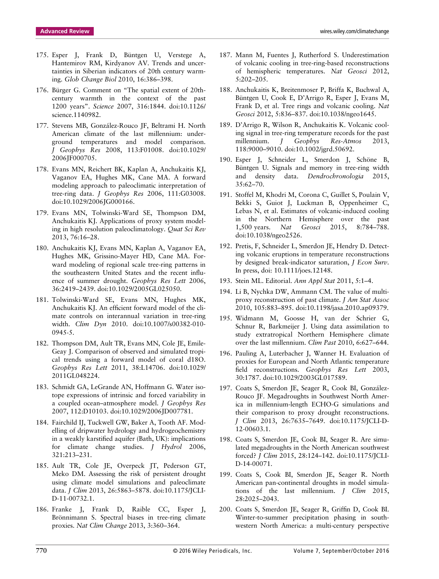- 175. Esper J, Frank D, Büntgen U, Verstege A, Hantemirov RM, Kirdyanov AV. Trends and uncertainties in Siberian indicators of 20th century warming. *Glob Change Biol* 2010, 16:386–398.
- 176. Bürger G. Comment on "The spatial extent of 20thcentury warmth in the context of the past 1200 years". *Science* 2007, 316:1844. doi:[10.1126/](http://dx.doi.org/10.1126/science.1140982) [science.1140982](http://dx.doi.org/10.1126/science.1140982).
- 177. Stevens MB, González-Rouco JF, Beltrami H. North American climate of the last millennium: underground temperatures and model comparison. *J Geophys Res* 2008, 113:F01008. doi:[10.1029/](http://dx.doi.org/10.1029/2006JF000705) [2006JF000705](http://dx.doi.org/10.1029/2006JF000705).
- 178. Evans MN, Reichert BK, Kaplan A, Anchukaitis KJ, Vaganov EA, Hughes MK, Cane MA. A forward modeling approach to paleoclimatic interpretation of tree-ring data. *J Geophys Res* 2006, 111:G03008. doi[:10.1029/2006JG000166.](http://dx.doi.org/10.1029/2006JG000166)
- 179. Evans MN, Tolwinski-Ward SE, Thompson DM, Anchukaitis KJ. Applications of proxy system modeling in high resolution paleoclimatology. *Quat Sci Rev* 2013, 76:16–28.
- 180. Anchukaitis KJ, Evans MN, Kaplan A, Vaganov EA, Hughes MK, Grissino-Mayer HD, Cane MA. Forward modeling of regional scale tree-ring patterns in the southeastern United States and the recent influence of summer drought. *Geophys Res Lett* 2006, 36:2419–2439. doi:[10.1029/2005GL025050](http://dx.doi.org/10.1029/2005GL025050).
- 181. Tolwinski-Ward SE, Evans MN, Hughes MK, Anchukaitis KJ. An efficient forward model of the climate controls on interannual variation in tree-ring width. *Clim Dyn* 2010. doi:[10.1007/s00382-010-](http://dx.doi.org/10.1007/s00382-010-0945-5) [0945-5](http://dx.doi.org/10.1007/s00382-010-0945-5).
- 182. Thompson DM, Ault TR, Evans MN, Cole JE, Emile-Geay J. Comparison of observed and simulated tropical trends using a forward model of coral d18O. *Geophys Res Lett* 2011, 38:L14706. doi:[10.1029/](http://dx.doi.org/10.1029/2011GL048224) [2011GL048224](http://dx.doi.org/10.1029/2011GL048224).
- 183. Schmidt GA, LeGrande AN, Hoffmann G. Water isotope expressions of intrinsic and forced variability in a coupled ocean–atmosphere model. *J Geophys Res* 2007, 112:D10103. doi[:10.1029/2006JD007781.](http://dx.doi.org/10.1029/2006JD007781)
- 184. Fairchild IJ, Tuckwell GW, Baker A, Tooth AF. Modelling of dripwater hydrology and hydrogeochemistry in a weakly karstified aquifer (Bath, UK): implications for climate change studies. *J Hydrol* 2006, 321:213–231.
- 185. Ault TR, Cole JE, Overpeck JT, Pederson GT, Meko DM. Assessing the risk of persistent drought using climate model simulations and paleoclimate data. *J Clim* 2013, 26:5863–5878. doi[:10.1175/JCLI-](http://dx.doi.org/10.1175/JCLI-D-11-00732.1)[D-11-00732.1](http://dx.doi.org/10.1175/JCLI-D-11-00732.1).
- 186. Franke J, Frank D, Raible CC, Esper J, Brönnimann S. Spectral biases in tree-ring climate proxies. *Nat Clim Change* 2013, 3:360–364.
- 187. Mann M, Fuentes J, Rutherford S. Underestimation of volcanic cooling in tree-ring-based reconstructions of hemispheric temperatures. *Nat Geosci* 2012, 5:202–205.
- 188. Anchukaitis K, Breitenmoser P, Briffa K, Buchwal A, Büntgen U, Cook E, D'Arrigo R, Esper J, Evans M, Frank D, et al. Tree rings and volcanic cooling. *Nat Geosci* 2012, 5:836–837. doi:[10.1038/ngeo1645.](http://dx.doi.org/10.1038/ngeo1645)
- 189. D'Arrigo R, Wilson R, Anchukaitis K. Volcanic cooling signal in tree-ring temperature records for the past millennium. *J Geophys Res-Atmos* 2013, 118:9000–9010. doi:[10.1002/jgrd.50692](http://dx.doi.org/10.1002/jgrd.50692).
- 190. Esper J, Schneider L, Smerdon J, Schöne B, Büntgen U. Signals and memory in tree-ring width and density data. *Dendrochronologia* 2015, 35:62–70.
- 191. Stoffel M, Khodri M, Corona C, Guillet S, Poulain V, Bekki S, Guiot J, Luckman B, Oppenheimer C, Lebas N, et al. Estimates of volcanic-induced cooling in the Northern Hemisphere over the past 1,500 years. *Nat Geosci* 2015, 8:784–788. doi[:10.1038/ngeo2526](http://dx.doi.org/10.1038/ngeo2526).
- 192. Pretis, F, Schneider L, Smerdon JE, Hendry D. Detecting volcanic eruptions in temperature reconstructions by designed break-indicator saturation, *J Econ Surv*. In press, doi: [10.1111/joes.12148.](http://dx.doi.org/10.1111/joes.12148)
- 193. Stein ML. Editorial. *Ann Appl Stat* 2011, 5:1–4.
- 194. Li B, Nychka DW, Ammann CM. The value of multiproxy reconstruction of past climate. *J Am Stat Assoc* 2010, 105:883–895. doi:[10.1198/jasa.2010.ap09379.](http://dx.doi.org/10.1198/jasa.2010.ap09379)
- 195. Widmann M, Goosse H, van der Schrier G, Schnur R, Barkmeijer J. Using data assimilation to study extratropical Northern Hemisphere climate over the last millennium. *Clim Past* 2010, 6:627–644.
- 196. Pauling A, Luterbacher J, Wanner H. Evaluation of proxies for European and North Atlantic temperature field reconstructions. *Geophys Res Lett* 2003, 30:1787. doi:[10.1029/2003GL017589](http://dx.doi.org/10.1029/2003GL017589).
- 197. Coats S, Smerdon JE, Seager R, Cook BI, González-Rouco JF. Megadroughts in Southwest North America in millennium-length ECHO-G simulations and their comparison to proxy drought reconstructions. *J Clim* 2013, 26:7635–7649. doi:[10.1175/JCLI-D-](http://dx.doi.org/10.1175/JCLI-D-12-00603.1)[12-00603.1.](http://dx.doi.org/10.1175/JCLI-D-12-00603.1)
- 198. Coats S, Smerdon JE, Cook BI, Seager R. Are simulated megadroughts in the North American southwest forced? *J Clim* 2015, 28:124–142. doi:[10.1175/JCLI-](http://dx.doi.org/10.1175/JCLI-D-14-00071)[D-14-00071](http://dx.doi.org/10.1175/JCLI-D-14-00071).
- 199. Coats S, Cook BI, Smerdon JE, Seager R. North American pan-continental droughts in model simulations of the last millennium. *J Clim* 2015, 28:2025–2043.
- 200. Coats S, Smerdon JE, Seager R, Griffin D, Cook BI. Winter-to-summer precipitation phasing in southwestern North America: a multi-century perspective